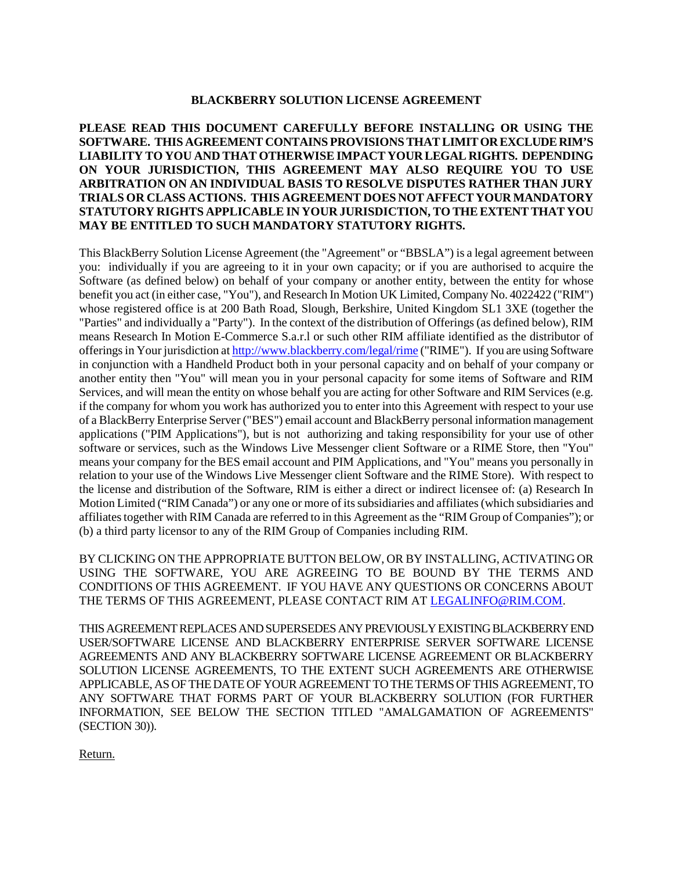### **BLACKBERRY SOLUTION LICENSE AGREEMENT**

## **PLEASE READ THIS DOCUMENT CAREFULLY BEFORE INSTALLING OR USING THE SOFTWARE. THIS AGREEMENT CONTAINS PROVISIONS THAT LIMIT OR EXCLUDE RIM'S LIABILITY TO YOU AND THAT OTHERWISE IMPACT YOUR LEGAL RIGHTS. DEPENDING ON YOUR JURISDICTION, THIS AGREEMENT MAY ALSO REQUIRE YOU TO USE ARBITRATION ON AN INDIVIDUAL BASIS TO RESOLVE DISPUTES RATHER THAN JURY TRIALS OR CLASS ACTIONS. THIS AGREEMENT DOES NOT AFFECT YOUR MANDATORY STATUTORY RIGHTS APPLICABLE IN YOUR JURISDICTION, TO THE EXTENT THAT YOU MAY BE ENTITLED TO SUCH MANDATORY STATUTORY RIGHTS.**

This BlackBerry Solution License Agreement (the "Agreement" or "BBSLA") is a legal agreement between you: individually if you are agreeing to it in your own capacity; or if you are authorised to acquire the Software (as defined below) on behalf of your company or another entity, between the entity for whose benefit you act (in either case, "You"), and Research In Motion UK Limited, Company No. 4022422 ("RIM") whose registered office is at 200 Bath Road, Slough, Berkshire, United Kingdom SL1 3XE (together the "Parties" and individually a "Party"). In the context of the distribution of Offerings (as defined below), RIM means Research In Motion E-Commerce S.a.r.l or such other RIM affiliate identified as the distributor of offerings in Your jurisdiction at http://www.blackberry.com/legal/rime ("RIME"). If you are using Software in conjunction with a Handheld Product both in your personal capacity and on behalf of your company or another entity then "You" will mean you in your personal capacity for some items of Software and RIM Services, and will mean the entity on whose behalf you are acting for other Software and RIM Services (e.g. if the company for whom you work has authorized you to enter into this Agreement with respect to your use of a BlackBerry Enterprise Server ("BES") email account and BlackBerry personal information management applications ("PIM Applications"), but is not authorizing and taking responsibility for your use of other software or services, such as the Windows Live Messenger client Software or a RIME Store, then "You" means your company for the BES email account and PIM Applications, and "You" means you personally in relation to your use of the Windows Live Messenger client Software and the RIME Store). With respect to the license and distribution of the Software, RIM is either a direct or indirect licensee of: (a) Research In Motion Limited ("RIM Canada") or any one or more of its subsidiaries and affiliates (which subsidiaries and affiliates together with RIM Canada are referred to in this Agreement as the "RIM Group of Companies"); or (b) a third party licensor to any of the RIM Group of Companies including RIM.

BY CLICKING ON THE APPROPRIATE BUTTON BELOW, OR BY INSTALLING, ACTIVATING OR USING THE SOFTWARE, YOU ARE AGREEING TO BE BOUND BY THE TERMS AND CONDITIONS OF THIS AGREEMENT. IF YOU HAVE ANY QUESTIONS OR CONCERNS ABOUT THE TERMS OF THIS AGREEMENT, PLEASE CONTACT RIM AT LEGALINFO@RIM.COM.

THIS AGREEMENT REPLACES AND SUPERSEDES ANY PREVIOUSLY EXISTING BLACKBERRY END USER/SOFTWARE LICENSE AND BLACKBERRY ENTERPRISE SERVER SOFTWARE LICENSE AGREEMENTS AND ANY BLACKBERRY SOFTWARE LICENSE AGREEMENT OR BLACKBERRY SOLUTION LICENSE AGREEMENTS, TO THE EXTENT SUCH AGREEMENTS ARE OTHERWISE APPLICABLE, AS OF THE DATE OF YOUR AGREEMENT TO THE TERMSOF THIS AGREEMENT, TO ANY SOFTWARE THAT FORMS PART OF YOUR BLACKBERRY SOLUTION (FOR FURTHER INFORMATION, SEE BELOW THE SECTION TITLED "AMALGAMATION OF AGREEMENTS" (SECTION 30)).

Return.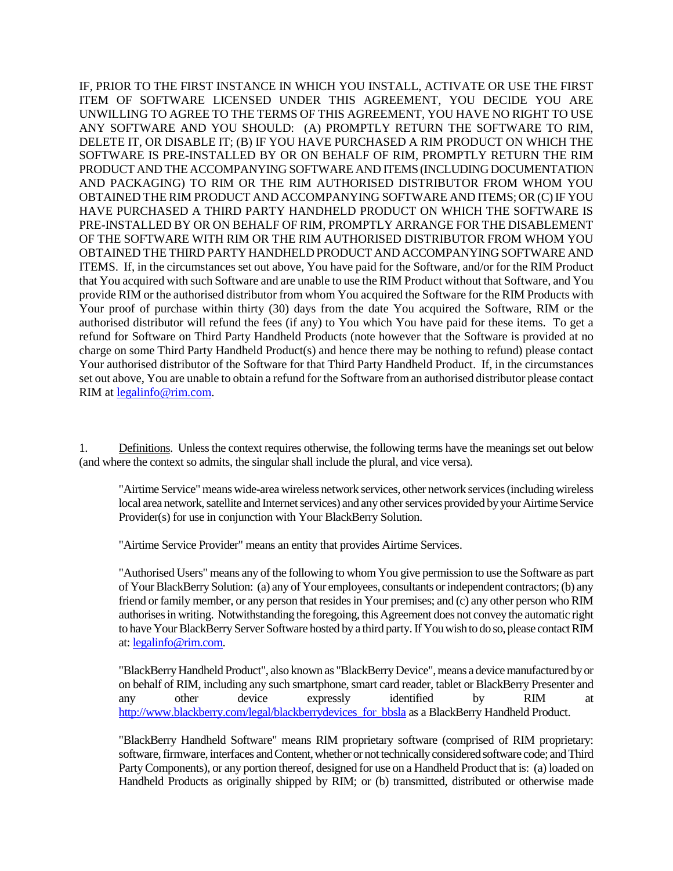IF, PRIOR TO THE FIRST INSTANCE IN WHICH YOU INSTALL, ACTIVATE OR USE THE FIRST ITEM OF SOFTWARE LICENSED UNDER THIS AGREEMENT, YOU DECIDE YOU ARE UNWILLING TO AGREE TO THE TERMS OF THIS AGREEMENT, YOU HAVE NO RIGHT TO USE ANY SOFTWARE AND YOU SHOULD: (A) PROMPTLY RETURN THE SOFTWARE TO RIM, DELETE IT, OR DISABLE IT; (B) IF YOU HAVE PURCHASED A RIM PRODUCT ON WHICH THE SOFTWARE IS PRE-INSTALLED BY OR ON BEHALF OF RIM, PROMPTLY RETURN THE RIM PRODUCT AND THE ACCOMPANYING SOFTWARE AND ITEMS (INCLUDING DOCUMENTATION AND PACKAGING) TO RIM OR THE RIM AUTHORISED DISTRIBUTOR FROM WHOM YOU OBTAINED THE RIM PRODUCT AND ACCOMPANYING SOFTWARE AND ITEMS; OR (C) IF YOU HAVE PURCHASED A THIRD PARTY HANDHELD PRODUCT ON WHICH THE SOFTWARE IS PRE-INSTALLED BY OR ON BEHALF OF RIM, PROMPTLY ARRANGE FOR THE DISABLEMENT OF THE SOFTWARE WITH RIM OR THE RIM AUTHORISED DISTRIBUTOR FROM WHOM YOU OBTAINED THE THIRD PARTY HANDHELD PRODUCT AND ACCOMPANYING SOFTWARE AND ITEMS. If, in the circumstances set out above, You have paid for the Software, and/or for the RIM Product that You acquired with such Software and are unable to use the RIM Product without that Software, and You provide RIM or the authorised distributor from whom You acquired the Software for the RIM Products with Your proof of purchase within thirty (30) days from the date You acquired the Software, RIM or the authorised distributor will refund the fees (if any) to You which You have paid for these items. To get a refund for Software on Third Party Handheld Products (note however that the Software is provided at no charge on some Third Party Handheld Product(s) and hence there may be nothing to refund) please contact Your authorised distributor of the Software for that Third Party Handheld Product. If, in the circumstances set out above, You are unable to obtain a refund for the Software from an authorised distributor please contact RIM at legalinfo@rim.com.

1. Definitions. Unless the context requires otherwise, the following terms have the meanings set out below (and where the context so admits, the singular shall include the plural, and vice versa).

"Airtime Service" means wide-area wireless network services, other network services (including wireless local area network, satellite and Internet services) and any other services provided by your Airtime Service Provider(s) for use in conjunction with Your BlackBerry Solution.

"Airtime Service Provider" means an entity that provides Airtime Services.

"Authorised Users" means any of the following to whom You give permission to use the Software as part of Your BlackBerry Solution: (a) any of Your employees, consultants or independent contractors; (b) any friend or family member, or any person that resides in Your premises; and (c) any other person who RIM authorises in writing. Notwithstanding the foregoing, this Agreement does not convey the automatic right to have Your BlackBerry Server Software hosted by a third party.If You wish to do so, please contact RIM at: legalinfo@rim.com.

"BlackBerry Handheld Product", also known as "BlackBerry Device", means a device manufactured by or on behalf of RIM, including any such smartphone, smart card reader, tablet or BlackBerry Presenter and any other device expressly identified by RIM at http://www.blackberry.com/legal/blackberrydevices\_for\_bbsla as a BlackBerry Handheld Product.

"BlackBerry Handheld Software" means RIM proprietary software (comprised of RIM proprietary: software, firmware, interfaces and Content, whether or not technically considered software code; and Third Party Components), or any portion thereof, designed for use on a Handheld Product that is: (a) loaded on Handheld Products as originally shipped by RIM; or (b) transmitted, distributed or otherwise made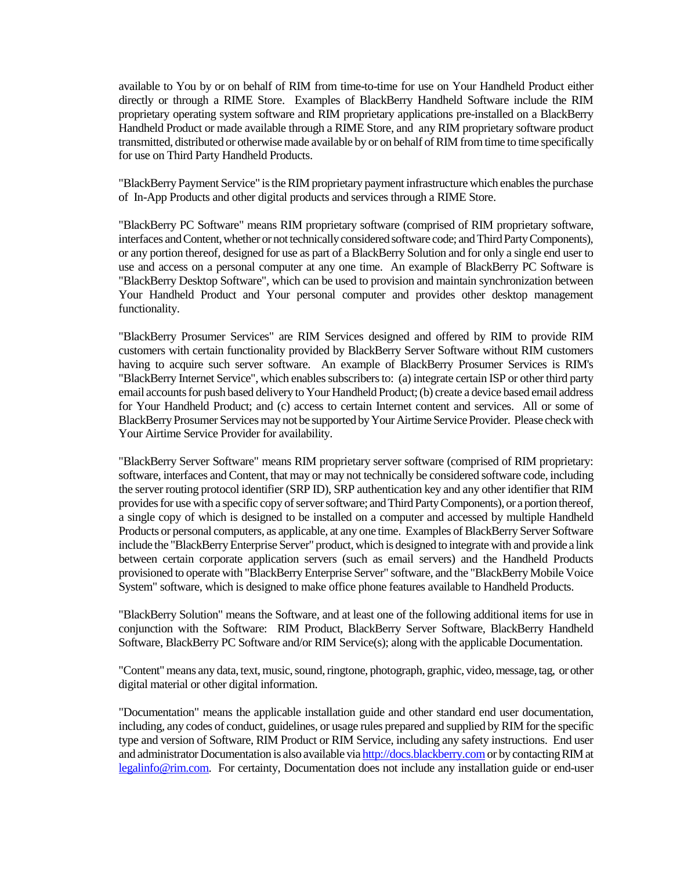available to You by or on behalf of RIM from time-to-time for use on Your Handheld Product either directly or through a RIME Store. Examples of BlackBerry Handheld Software include the RIM proprietary operating system software and RIM proprietary applications pre-installed on a BlackBerry Handheld Product or made available through a RIME Store, and any RIM proprietary software product transmitted, distributed or otherwise made available by or on behalf of RIM from time to time specifically for use on Third Party Handheld Products.

"BlackBerry Payment Service" is the RIM proprietary payment infrastructure which enables the purchase of In-App Products and other digital products and services through a RIME Store.

"BlackBerry PC Software" means RIM proprietary software (comprised of RIM proprietary software, interfaces and Content, whether or not technically considered software code; and Third Party Components), or any portion thereof, designed for use as part of a BlackBerry Solution and for only a single end user to use and access on a personal computer at any one time. An example of BlackBerry PC Software is "BlackBerry Desktop Software", which can be used to provision and maintain synchronization between Your Handheld Product and Your personal computer and provides other desktop management functionality.

"BlackBerry Prosumer Services" are RIM Services designed and offered by RIM to provide RIM customers with certain functionality provided by BlackBerry Server Software without RIM customers having to acquire such server software. An example of BlackBerry Prosumer Services is RIM's "BlackBerry Internet Service", which enables subscribers to: (a) integrate certain ISP or other third party email accounts for push based delivery to Your Handheld Product; (b) create a device based email address for Your Handheld Product; and (c) access to certain Internet content and services. All or some of BlackBerry Prosumer Services may not be supported by Your Airtime Service Provider. Please check with Your Airtime Service Provider for availability.

"BlackBerry Server Software" means RIM proprietary server software (comprised of RIM proprietary: software, interfaces and Content, that may or may not technically be considered software code, including the server routing protocol identifier (SRP ID), SRP authentication key and any other identifier that RIM provides for use with a specific copy of server software; and Third Party Components), or a portion thereof, a single copy of which is designed to be installed on a computer and accessed by multiple Handheld Products or personal computers, as applicable, at any one time. Examples of BlackBerry Server Software include the "BlackBerry Enterprise Server" product, which is designed to integrate with and provide a link between certain corporate application servers (such as email servers) and the Handheld Products provisioned to operate with "BlackBerry Enterprise Server" software, and the "BlackBerry Mobile Voice System" software, which is designed to make office phone features available to Handheld Products.

"BlackBerry Solution" means the Software, and at least one of the following additional items for use in conjunction with the Software: RIM Product, BlackBerry Server Software, BlackBerry Handheld Software, BlackBerry PC Software and/or RIM Service(s); along with the applicable Documentation.

"Content" means any data, text, music, sound, ringtone, photograph, graphic, video, message, tag, or other digital material or other digital information.

"Documentation" means the applicable installation guide and other standard end user documentation, including, any codes of conduct, guidelines, or usage rules prepared and supplied by RIM for the specific type and version of Software, RIM Product or RIM Service, including any safety instructions. End user and administrator Documentation is also available via http://docs.blackberry.comor by contacting RIM at legalinfo@rim.com. For certainty, Documentation does not include any installation guide or end-user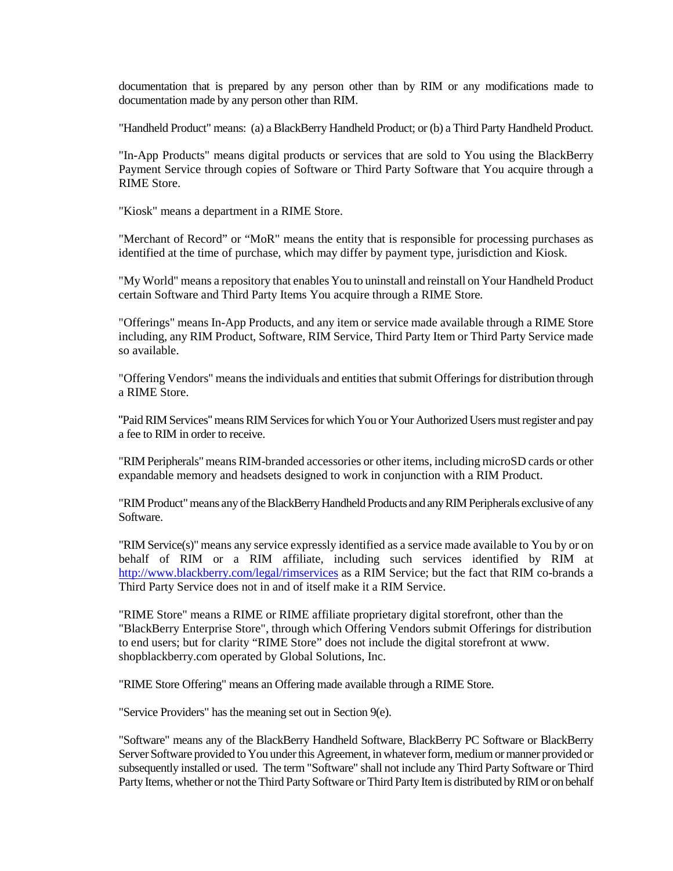documentation that is prepared by any person other than by RIM or any modifications made to documentation made by any person other than RIM.

"Handheld Product" means: (a) a BlackBerry Handheld Product; or (b) a Third Party Handheld Product.

"In-App Products" means digital products or services that are sold to You using the BlackBerry Payment Service through copies of Software or Third Party Software that You acquire through a RIME Store.

"Kiosk" means a department in a RIME Store.

"Merchant of Record" or "MoR" means the entity that is responsible for processing purchases as identified at the time of purchase, which may differ by payment type, jurisdiction and Kiosk.

"My World" means a repository that enables You to uninstall and reinstall on Your Handheld Product certain Software and Third Party Items You acquire through a RIME Store*.*

"Offerings" means In-App Products, and any item or service made available through a RIME Store including, any RIM Product, Software, RIM Service, Third Party Item or Third Party Service made so available.

"Offering Vendors" means the individuals and entities that submit Offerings for distribution through a RIME Store.

"Paid RIM Services" means RIM Services for which You or Your Authorized Users must register and pay a fee to RIM in order to receive.

"RIM Peripherals" means RIM-branded accessories or other items, including microSD cards or other expandable memory and headsets designed to work in conjunction with a RIM Product.

"RIM Product" means any of the BlackBerry Handheld Products and any RIM Peripherals exclusive of any Software.

"RIM Service(s)" means any service expressly identified as a service made available to You by or on behalf of RIM or a RIM affiliate, including such services identified by RIM at http://www.blackberry.com/legal/rimservices as a RIM Service; but the fact that RIM co-brands a Third Party Service does not in and of itself make it a RIM Service.

"RIME Store" means a RIME or RIME affiliate proprietary digital storefront, other than the "BlackBerry Enterprise Store", through which Offering Vendors submit Offerings for distribution to end users; but for clarity "RIME Store" does not include the digital storefront at www. shopblackberry.com operated by Global Solutions, Inc.

"RIME Store Offering" means an Offering made available through a RIME Store.

"Service Providers" has the meaning set out in Section 9(e).

"Software" means any of the BlackBerry Handheld Software, BlackBerry PC Software or BlackBerry Server Software provided to You under this Agreement, in whatever form, medium or manner provided or subsequently installed or used. The term "Software" shall not include any Third Party Software or Third Party Items, whether or not the Third Party Software or Third Party Item is distributed by RIM or on behalf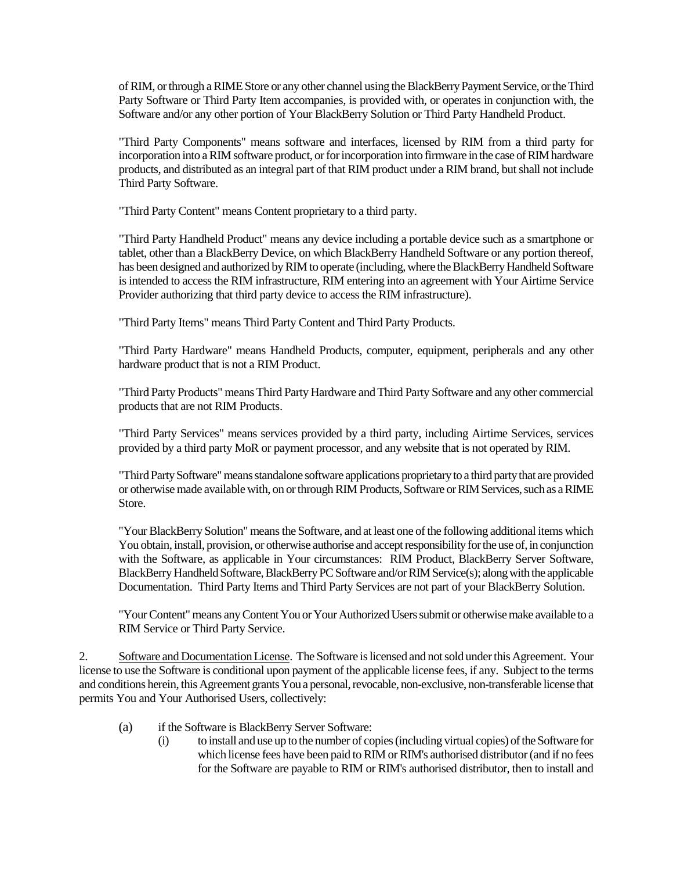of RIM, or through a RIME Store or any other channel using the BlackBerry Payment Service, or the Third Party Software or Third Party Item accompanies, is provided with, or operates in conjunction with, the Software and/or any other portion of Your BlackBerry Solution or Third Party Handheld Product.

"Third Party Components" means software and interfaces, licensed by RIM from a third party for incorporation into a RIM software product, or for incorporation into firmware in the case of RIM hardware products, and distributed as an integral part of that RIM product under a RIM brand, but shall not include Third Party Software.

"Third Party Content" means Content proprietary to a third party.

"Third Party Handheld Product" means any device including a portable device such as a smartphone or tablet, other than a BlackBerry Device, on which BlackBerry Handheld Software or any portion thereof, has been designed and authorized by RIM to operate (including, where the BlackBerry Handheld Software is intended to access the RIM infrastructure, RIM entering into an agreement with Your Airtime Service Provider authorizing that third party device to access the RIM infrastructure).

"Third Party Items" means Third Party Content and Third Party Products.

"Third Party Hardware" means Handheld Products, computer, equipment, peripherals and any other hardware product that is not a RIM Product.

"Third Party Products" means Third Party Hardware and Third Party Software and any other commercial products that are not RIM Products.

"Third Party Services" means services provided by a third party, including Airtime Services, services provided by a third party MoR or payment processor, and any website that is not operated by RIM.

"Third Party Software" means standalone software applications proprietary to a third party that are provided or otherwise made available with, on or through RIM Products, Software or RIM Services, such as a RIME Store.

"Your BlackBerry Solution" means the Software, and at least one of the following additional items which You obtain, install, provision, or otherwise authorise and accept responsibility for the use of, in conjunction with the Software, as applicable in Your circumstances: RIM Product, BlackBerry Server Software, BlackBerry Handheld Software, BlackBerry PC Software and/or RIMService(s); along with the applicable Documentation. Third Party Items and Third Party Services are not part of your BlackBerry Solution.

"Your Content" means any Content You or Your Authorized Users submit or otherwise make available to a RIM Service or Third Party Service.

2. Software and Documentation License. The Software is licensed and not sold under this Agreement. Your license to use the Software is conditional upon payment of the applicable license fees, if any. Subject to the terms and conditions herein, this Agreement grants You a personal, revocable, non-exclusive, non-transferable license that permits You and Your Authorised Users, collectively:

- (a) if the Software is BlackBerry Server Software:
	- (i) to install and use up to the number of copies (including virtual copies) of the Software for which license fees have been paid to RIM or RIM's authorised distributor (and if no fees for the Software are payable to RIM or RIM's authorised distributor, then to install and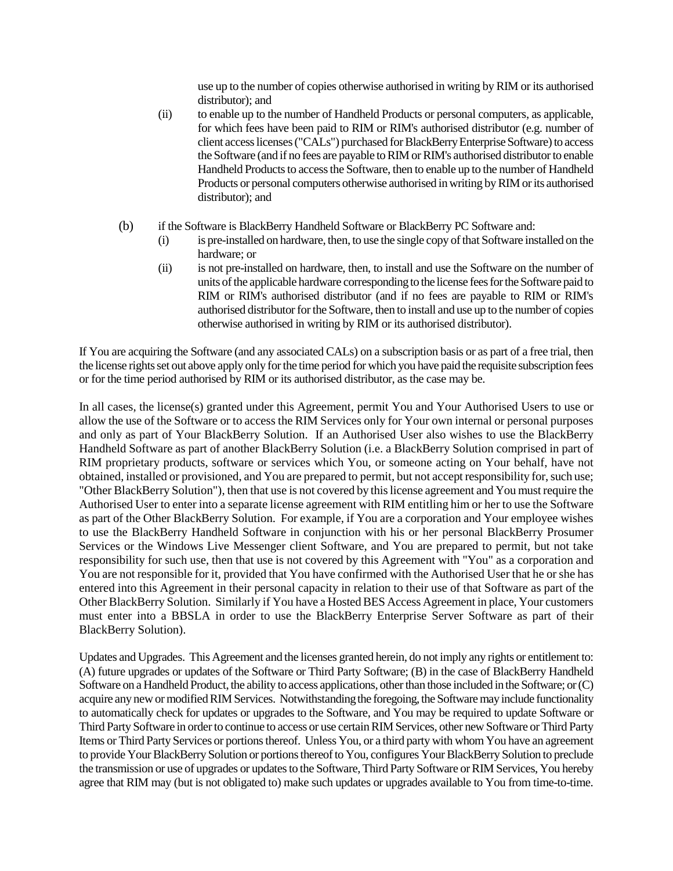use up to the number of copies otherwise authorised in writing by RIM or its authorised distributor); and

- (ii) to enable up to the number of Handheld Products or personal computers, as applicable, for which fees have been paid to RIM or RIM's authorised distributor (e.g. number of client access licenses ("CALs") purchased for BlackBerry Enterprise Software) to access the Software (and if no fees are payable to RIM or RIM's authorised distributor to enable Handheld Products to access the Software, then to enable up to the number of Handheld Products or personal computers otherwise authorised in writing by RIM or its authorised distributor); and
- (b) if the Software is BlackBerry Handheld Software or BlackBerry PC Software and:
	- (i) is pre-installed on hardware, then, to use the single copy of that Software installed on the hardware; or
	- (ii) is not pre-installed on hardware, then, to install and use the Software on the number of units of the applicable hardware corresponding to the license fees for the Software paid to RIM or RIM's authorised distributor (and if no fees are payable to RIM or RIM's authorised distributor for the Software, then to install and use up to the number of copies otherwise authorised in writing by RIM or its authorised distributor).

If You are acquiring the Software (and any associated CALs) on a subscription basis or as part of a free trial, then the license rights set out above apply only for the time period for which you have paid the requisite subscription fees or for the time period authorised by RIM or its authorised distributor, as the case may be.

In all cases, the license(s) granted under this Agreement, permit You and Your Authorised Users to use or allow the use of the Software or to access the RIM Services only for Your own internal or personal purposes and only as part of Your BlackBerry Solution. If an Authorised User also wishes to use the BlackBerry Handheld Software as part of another BlackBerry Solution (i.e. a BlackBerry Solution comprised in part of RIM proprietary products, software or services which You, or someone acting on Your behalf, have not obtained, installed or provisioned, and You are prepared to permit, but not accept responsibility for, such use; "Other BlackBerry Solution"), then that use is not covered by this license agreement and You must require the Authorised User to enter into a separate license agreement with RIM entitling him or her to use the Software as part of the Other BlackBerry Solution. For example, if You are a corporation and Your employee wishes to use the BlackBerry Handheld Software in conjunction with his or her personal BlackBerry Prosumer Services or the Windows Live Messenger client Software, and You are prepared to permit, but not take responsibility for such use, then that use is not covered by this Agreement with "You" as a corporation and You are not responsible for it, provided that You have confirmed with the Authorised User that he or she has entered into this Agreement in their personal capacity in relation to their use of that Software as part of the Other BlackBerry Solution. Similarly if You have a Hosted BES Access Agreement in place, Your customers must enter into a BBSLA in order to use the BlackBerry Enterprise Server Software as part of their BlackBerry Solution).

Updates and Upgrades. This Agreement and the licenses granted herein, do not imply any rights or entitlement to: (A) future upgrades or updates of the Software or Third Party Software; (B) in the case of BlackBerry Handheld Software on a Handheld Product, the ability to access applications, other than those included in the Software; or (C) acquire any new or modified RIM Services. Notwithstanding the foregoing, the Software may include functionality to automatically check for updates or upgrades to the Software, and You may be required to update Software or Third Party Software in order to continue to access or use certain RIM Services, other new Software or Third Party Items or Third Party Services or portions thereof. Unless You, or a third party with whom You have an agreement to provide Your BlackBerry Solution or portions thereof to You, configures Your BlackBerry Solution to preclude the transmission or use of upgrades or updates to the Software, Third Party Software or RIM Services, You hereby agree that RIM may (but is not obligated to) make such updates or upgrades available to You from time-to-time.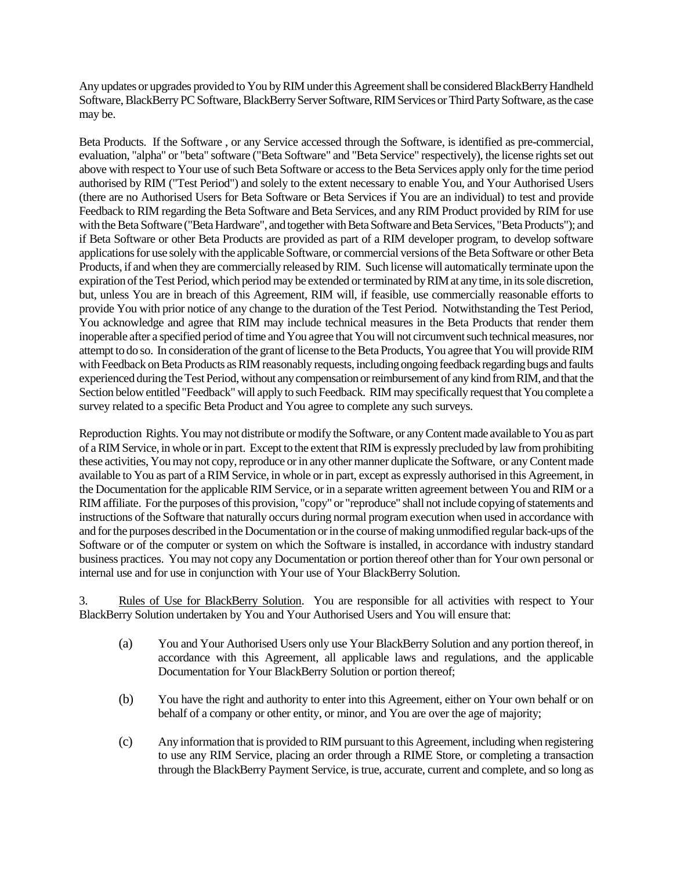Any updates or upgrades provided to You by RIM under this Agreement shall be considered BlackBerry Handheld Software, BlackBerry PC Software, BlackBerry Server Software, RIM Services or Third Party Software, as the case may be.

Beta Products. If the Software , or any Service accessed through the Software, is identified as pre-commercial, evaluation, "alpha" or "beta" software ("Beta Software" and "Beta Service" respectively), the license rights set out above with respect to Your use of such Beta Software or access to the Beta Services apply only for the time period authorised by RIM ("Test Period") and solely to the extent necessary to enable You, and Your Authorised Users (there are no Authorised Users for Beta Software or Beta Services if You are an individual) to test and provide Feedback to RIM regarding the Beta Software and Beta Services, and any RIM Product provided by RIM for use with the Beta Software ("Beta Hardware", and together with Beta Software and Beta Services, "Beta Products"); and if Beta Software or other Beta Products are provided as part of a RIM developer program, to develop software applications for use solely with the applicable Software, or commercial versions of the Beta Software or other Beta Products, if and when they are commercially released by RIM. Such license will automatically terminate upon the expiration of the Test Period, which period may be extended or terminated by RIM at any time, in its sole discretion, but, unless You are in breach of this Agreement, RIM will, if feasible, use commercially reasonable efforts to provide You with prior notice of any change to the duration of the Test Period. Notwithstanding the Test Period, You acknowledge and agree that RIM may include technical measures in the Beta Products that render them inoperable after a specified period of time and You agree that You will not circumvent such technical measures, nor attempt to do so. In consideration of the grant of license to the Beta Products, You agree that You will provide RIM with Feedback on Beta Products as RIM reasonably requests, including ongoing feedback regarding bugs and faults experienced during the Test Period, without any compensation or reimbursement of any kind from RIM, and that the Section below entitled "Feedback" will apply to such Feedback. RIM may specifically request that You complete a survey related to a specific Beta Product and You agree to complete any such surveys.

Reproduction Rights. You may not distribute or modify the Software, or any Content made available to You as part of a RIM Service, in whole or in part. Except to the extent that RIM is expressly precluded by law from prohibiting these activities, You may not copy, reproduce or in any other manner duplicate the Software, or any Content made available to You as part of a RIM Service, in whole or in part, except as expressly authorised in this Agreement, in the Documentation for the applicable RIM Service, or in a separate written agreement between You and RIM or a RIM affiliate. For the purposes of this provision, "copy" or "reproduce" shall not include copying of statements and instructions of the Software that naturally occurs during normal program execution when used in accordance with and for the purposes described in the Documentation or in the course of making unmodified regular back-ups of the Software or of the computer or system on which the Software is installed, in accordance with industry standard business practices. You may not copy any Documentation or portion thereof other than for Your own personal or internal use and for use in conjunction with Your use of Your BlackBerry Solution.

3. Rules of Use for BlackBerry Solution. You are responsible for all activities with respect to Your BlackBerry Solution undertaken by You and Your Authorised Users and You will ensure that:

- (a) You and Your Authorised Users only use Your BlackBerry Solution and any portion thereof, in accordance with this Agreement, all applicable laws and regulations, and the applicable Documentation for Your BlackBerry Solution or portion thereof;
- (b) You have the right and authority to enter into this Agreement, either on Your own behalf or on behalf of a company or other entity, or minor, and You are over the age of majority;
- (c) Any information that is provided to RIM pursuant to this Agreement, including when registering to use any RIM Service, placing an order through a RIME Store, or completing a transaction through the BlackBerry Payment Service, is true, accurate, current and complete, and so long as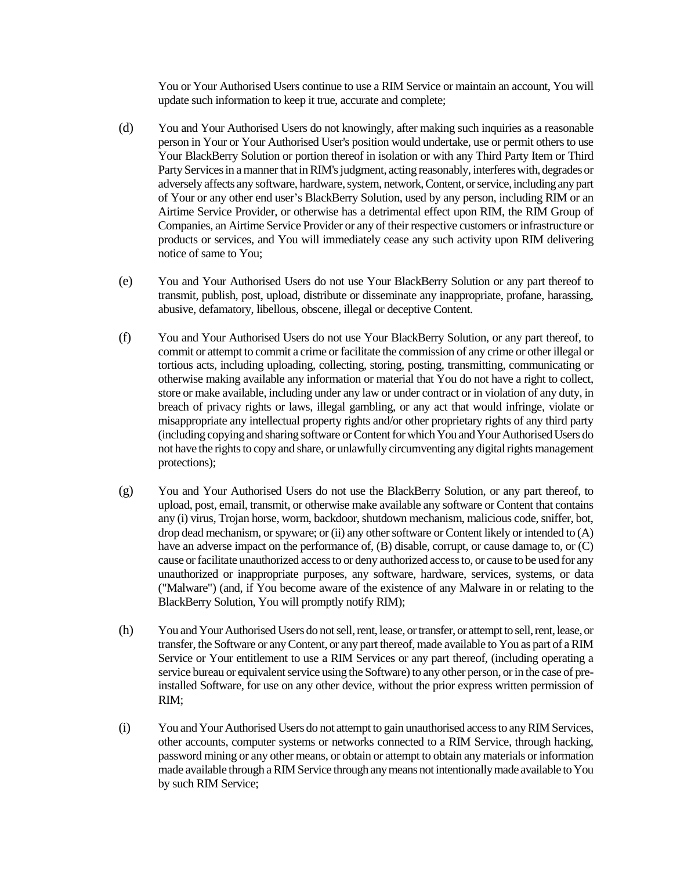You or Your Authorised Users continue to use a RIM Service or maintain an account, You will update such information to keep it true, accurate and complete;

- (d) You and Your Authorised Users do not knowingly, after making such inquiries as a reasonable person in Your or Your Authorised User's position would undertake, use or permit others to use Your BlackBerry Solution or portion thereof in isolation or with any Third Party Item or Third Party Servicesin a manner that in RIM's judgment, acting reasonably, interferes with, degrades or adversely affects any software, hardware, system, network,Content, or service, including any part of Your or any other end user's BlackBerry Solution, used by any person, including RIM or an Airtime Service Provider, or otherwise has a detrimental effect upon RIM, the RIM Group of Companies, an Airtime Service Provider or any of their respective customers or infrastructure or products or services, and You will immediately cease any such activity upon RIM delivering notice of same to You;
- (e) You and Your Authorised Users do not use Your BlackBerry Solution or any part thereof to transmit, publish, post, upload, distribute or disseminate any inappropriate, profane, harassing, abusive, defamatory, libellous, obscene, illegal or deceptive Content.
- (f) You and Your Authorised Users do not use Your BlackBerry Solution, or any part thereof, to commit or attempt to commit a crime or facilitate the commission of any crime or other illegal or tortious acts, including uploading, collecting, storing, posting, transmitting, communicating or otherwise making available any information or material that You do not have a right to collect, store or make available, including under any law or under contract or in violation of any duty, in breach of privacy rights or laws, illegal gambling, or any act that would infringe, violate or misappropriate any intellectual property rights and/or other proprietary rights of any third party (including copying and sharing software or Content for which You and Your Authorised Users do not have the rights to copy and share, or unlawfully circumventing any digital rights management protections);
- (g) You and Your Authorised Users do not use the BlackBerry Solution, or any part thereof, to upload, post, email, transmit, or otherwise make available any software or Content that contains any (i) virus, Trojan horse, worm, backdoor, shutdown mechanism, malicious code, sniffer, bot, drop dead mechanism, or spyware; or (ii) any other software or Content likely or intended to (A) have an adverse impact on the performance of, (B) disable, corrupt, or cause damage to, or (C) cause or facilitate unauthorized access to or deny authorized access to, or cause to be used for any unauthorized or inappropriate purposes, any software, hardware, services, systems, or data ("Malware") (and, if You become aware of the existence of any Malware in or relating to the BlackBerry Solution, You will promptly notify RIM);
- (h) You and Your Authorised Users do not sell, rent, lease, or transfer, or attempt to sell, rent, lease, or transfer, the Software or any Content, or any part thereof, made available to You as part of a RIM Service or Your entitlement to use a RIM Services or any part thereof, (including operating a service bureau or equivalent service using the Software) to any other person, or in the case of preinstalled Software, for use on any other device, without the prior express written permission of RIM;
- (i) You and Your Authorised Users do not attempt to gain unauthorised access to any RIM Services, other accounts, computer systems or networks connected to a RIM Service, through hacking, password mining or any other means, or obtain or attempt to obtain any materials or information made available through a RIM Service through any means not intentionally made available to You by such RIM Service;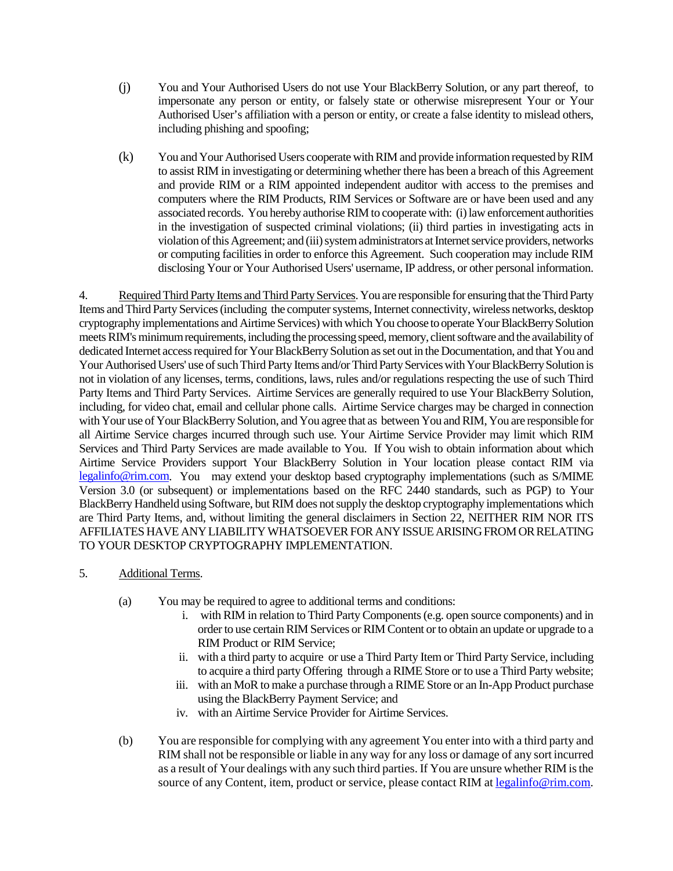- (j) You and Your Authorised Users do not use Your BlackBerry Solution, or any part thereof, to impersonate any person or entity, or falsely state or otherwise misrepresent Your or Your Authorised User's affiliation with a person or entity, or create a false identity to mislead others, including phishing and spoofing;
- (k) You and Your Authorised Users cooperate with RIM and provide information requested by RIM to assist RIM in investigating or determining whether there has been a breach of this Agreement and provide RIM or a RIM appointed independent auditor with access to the premises and computers where the RIM Products, RIM Services or Software are or have been used and any associated records. You hereby authorise RIM to cooperate with: (i) law enforcement authorities in the investigation of suspected criminal violations; (ii) third parties in investigating acts in violation of this Agreement; and (iii) system administrators at Internet service providers, networks or computing facilities in order to enforce this Agreement. Such cooperation may include RIM disclosing Your or Your Authorised Users' username, IP address, or other personal information.

4. Required Third Party Items and Third Party Services. You are responsible for ensuring that the Third Party Items and Third Party Services (including the computer systems, Internet connectivity, wireless networks, desktop cryptography implementations and Airtime Services) with which You choose to operate Your BlackBerry Solution meets RIM's minimum requirements, including the processing speed, memory, client software and the availability of dedicated Internet access required for Your BlackBerry Solution as set out in the Documentation, and that You and Your Authorised Users' use of such Third Party Items and/or Third Party Services with Your BlackBerry Solution is not in violation of any licenses, terms, conditions, laws, rules and/or regulations respecting the use of such Third Party Items and Third Party Services. Airtime Services are generally required to use Your BlackBerry Solution, including, for video chat, email and cellular phone calls. Airtime Service charges may be charged in connection with Your use of Your BlackBerry Solution, and You agree that as between You and RIM, You are responsible for all Airtime Service charges incurred through such use. Your Airtime Service Provider may limit which RIM Services and Third Party Services are made available to You. If You wish to obtain information about which Airtime Service Providers support Your BlackBerry Solution in Your location please contact RIM via legalinfo@rim.com. You may extend your desktop based cryptography implementations (such as S/MIME Version 3.0 (or subsequent) or implementations based on the RFC 2440 standards, such as PGP) to Your BlackBerry Handheld using Software, but RIM does not supply the desktop cryptography implementations which are Third Party Items, and, without limiting the general disclaimers in Section 22, NEITHER RIM NOR ITS AFFILIATES HAVE ANY LIABILITY WHATSOEVER FOR ANY ISSUE ARISING FROM OR RELATING TO YOUR DESKTOP CRYPTOGRAPHY IMPLEMENTATION.

- 5. Additional Terms.
	- (a) You may be required to agree to additional terms and conditions:
		- i. with RIM in relation to Third Party Components (e.g. open source components) and in order to use certain RIM Services or RIM Content or to obtain an update or upgrade to a RIM Product or RIM Service;
		- ii. with a third party to acquire or use a Third Party Item or Third Party Service, including to acquire a third party Offering through a RIME Store or to use a Third Party website;
		- iii. with an MoR to make a purchase through a RIME Store or an In-App Product purchase using the BlackBerry Payment Service; and
		- iv. with an Airtime Service Provider for Airtime Services.
	- (b) You are responsible for complying with any agreement You enter into with a third party and RIM shall not be responsible or liable in any way for any loss or damage of any sort incurred as a result of Your dealings with any such third parties. If You are unsure whether RIM is the source of any Content, item, product or service, please contact RIM at legalinfo@rim.com.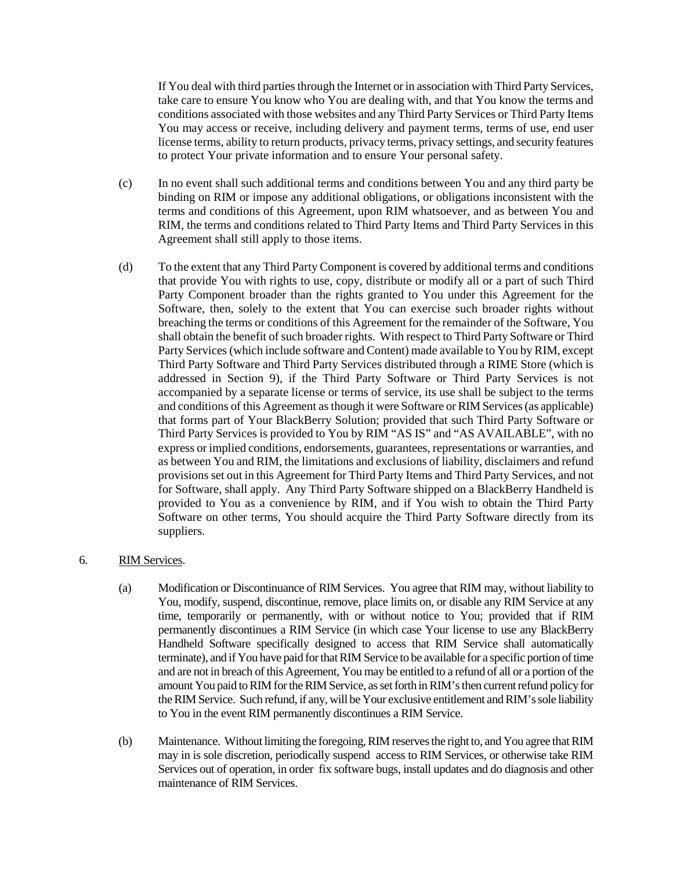If You deal with third parties through the Internet or in association with Third Party Services, take care to ensure You know who You are dealing with, and that You know the terms and conditions associated with those websites and any Third Party Services or Third Party Items You may access or receive, including delivery and payment terms, terms of use, end user license terms, ability to return products, privacy terms, privacy settings, and security features to protect Your private information and to ensure Your personal safety.

- (c) In no event shall such additional terms and conditions between You and any third party be binding on RIM or impose any additional obligations, or obligations inconsistent with the terms and conditions of this Agreement, upon RIM whatsoever, and as between You and RIM, the terms and conditions related to Third Party Items and Third Party Services in this Agreement shall still apply to those items.
- (d) To the extent that any Third Party Component is covered by additional terms and conditions that provide You with rights to use, copy, distribute or modify all or a part of such Third Party Component broader than the rights granted to You under this Agreement for the Software, then, solely to the extent that You can exercise such broader rights without breaching the terms or conditions of this Agreement for the remainder of the Software, You shall obtain the benefit of such broader rights. With respect to Third Party Software or Third Party Services (which include software and Content) made available to You by RIM, except Third Party Software and Third Party Services distributed through a RIME Store (which is addressed in Section 9), if the Third Party Software or Third Party Services is not accompanied by a separate license or terms of service, its use shall be subject to the terms and conditions of this Agreement as though it were Software or RIM Services (as applicable) that forms part of Your BlackBerry Solution; provided that such Third Party Software or Third Party Services is provided to You by RIM "AS IS" and "AS AVAILABLE", with no express or implied conditions, endorsements, guarantees, representations or warranties, and as between You and RIM, the limitations and exclusions of liability, disclaimers and refund provisions set out in this Agreement for Third Party Items and Third Party Services, and not for Software, shall apply. Any Third Party Software shipped on a BlackBerry Handheld is provided to You as a convenience by RIM, and if You wish to obtain the Third Party Software on other terms, You should acquire the Third Party Software directly from its suppliers.

# 6. RIM Services.

- (a) Modification or Discontinuance of RIM Services. You agree that RIM may, without liability to You, modify, suspend, discontinue, remove, place limits on, or disable any RIM Service at any time, temporarily or permanently, with or without notice to You; provided that if RIM permanently discontinues a RIM Service (in which case Your license to use any BlackBerry Handheld Software specifically designed to access that RIM Service shall automatically terminate), and if You have paid for that RIM Service to be available for a specific portion of time and are not in breach of this Agreement, You may be entitled to a refund of all or a portion of the amount You paid to RIM for the RIM Service, as set forth inRIM's then current refund policy for theRIM Service. Such refund, if any, will be Your exclusive entitlement and RIM's sole liability to You in the event RIM permanently discontinues a RIM Service.
- (b) Maintenance. Without limiting the foregoing, RIM reserves the right to, and You agree that RIM may in is sole discretion, periodically suspend access to RIM Services, or otherwise take RIM Services out of operation, in order fix software bugs, install updates and do diagnosis and other maintenance of RIM Services.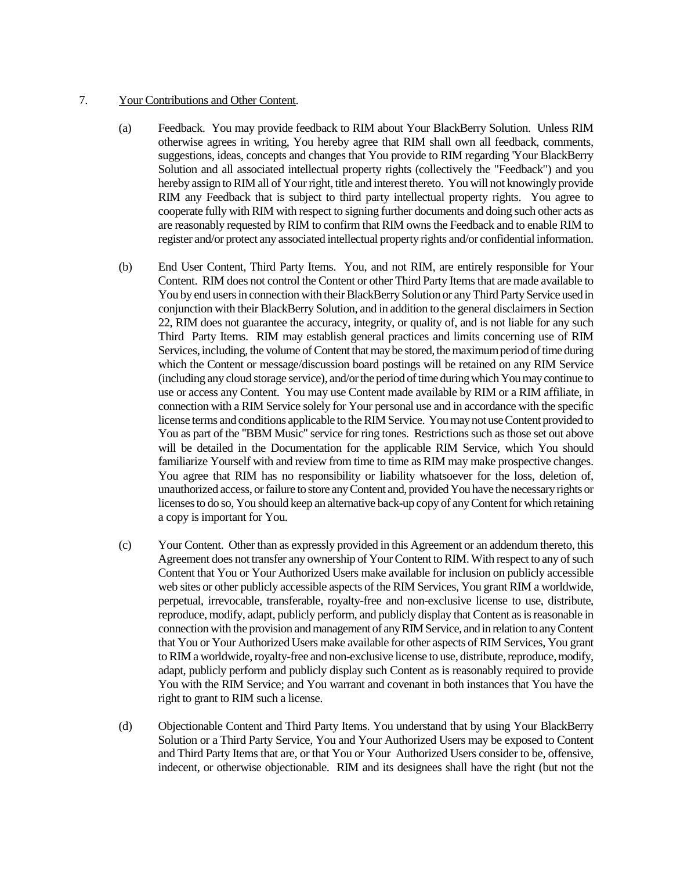### 7. Your Contributions and Other Content.

- (a) Feedback. You may provide feedback to RIM about Your BlackBerry Solution. Unless RIM otherwise agrees in writing, You hereby agree that RIM shall own all feedback, comments, suggestions, ideas, concepts and changes that You provide to RIM regarding 'Your BlackBerry Solution and all associated intellectual property rights (collectively the "Feedback") and you hereby assign to RIM all of Your right, title and interest thereto. You will not knowingly provide RIM any Feedback that is subject to third party intellectual property rights. You agree to cooperate fully with RIM with respect to signing further documents and doing such other acts as are reasonably requested by RIM to confirm that RIM owns the Feedback and to enable RIM to register and/or protect any associated intellectual property rights and/or confidential information.
- (b) End User Content, Third Party Items. You, and not RIM, are entirely responsible for Your Content. RIM does not control the Content or other Third Party Items that are made available to You by end users in connection with their BlackBerry Solution or any Third Party Service used in conjunction with their BlackBerry Solution, and in addition to the general disclaimers in Section 22, RIM does not guarantee the accuracy, integrity, or quality of, and is not liable for any such Third Party Items. RIM may establish general practices and limits concerning use of RIM Services, including, the volume of Content that may be stored, the maximum period of time during which the Content or message/discussion board postings will be retained on any RIM Service (including any cloud storage service), and/or the period of time during which You may continue to use or access any Content. You may use Content made available by RIM or a RIM affiliate, in connection with a RIM Service solely for Your personal use and in accordance with the specific license terms and conditions applicable to the RIM Service. You may not use Content provided to You as part of the "BBM Music" service for ring tones. Restrictions such as those set out above will be detailed in the Documentation for the applicable RIM Service, which You should familiarize Yourself with and review from time to time as RIM may make prospective changes. You agree that RIM has no responsibility or liability whatsoever for the loss, deletion of, unauthorized access, or failure to store any Content and, provided You have the necessary rights or licenses to do so, You should keep an alternative back-up copy of any Content for which retaining a copy is important for You.
- (c) Your Content. Other than as expressly provided in this Agreement or an addendum thereto, this Agreement does not transfer any ownership of Your Content to RIM. With respect to any of such Content that You or Your Authorized Users make available for inclusion on publicly accessible web sites or other publicly accessible aspects of the RIM Services, You grant RIM a worldwide, perpetual, irrevocable, transferable, royalty-free and non-exclusive license to use, distribute, reproduce, modify, adapt, publicly perform, and publicly display that Content as is reasonable in connection with the provision and management of any RIM Service, and in relation to any Content that You or Your Authorized Users make available for other aspects of RIM Services, You grant to RIM a worldwide, royalty-free and non-exclusive license to use, distribute, reproduce, modify, adapt, publicly perform and publicly display such Content as is reasonably required to provide You with the RIM Service; and You warrant and covenant in both instances that You have the right to grant to RIM such a license.
- (d) Objectionable Content and Third Party Items. You understand that by using Your BlackBerry Solution or a Third Party Service, You and Your Authorized Users may be exposed to Content and Third Party Items that are, or that You or Your Authorized Users consider to be, offensive, indecent, or otherwise objectionable. RIM and its designees shall have the right (but not the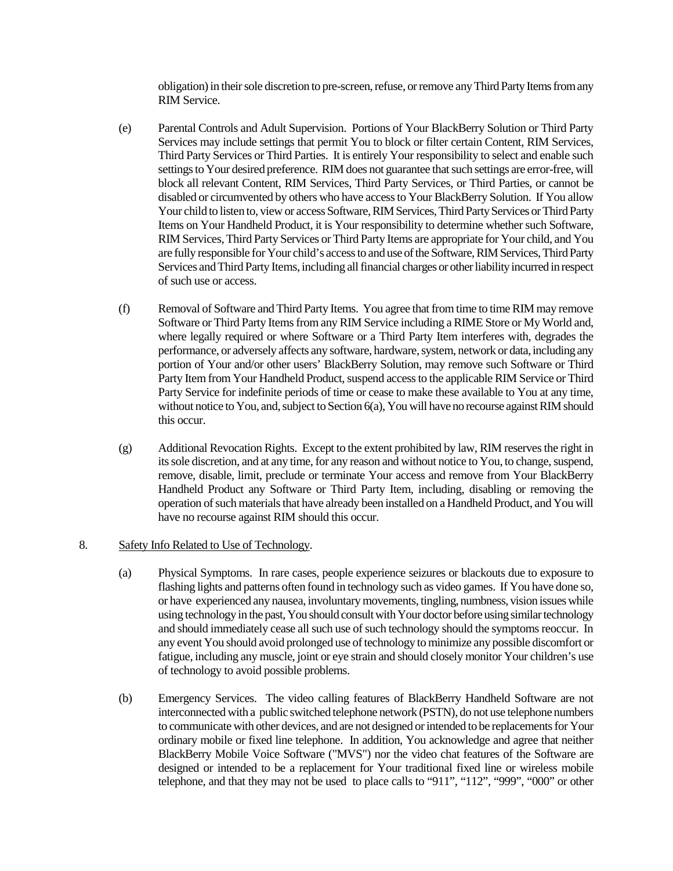obligation) in their sole discretion to pre-screen, refuse, or remove anyThird Party Itemsfrom any RIM Service.

- (e) Parental Controls and Adult Supervision. Portions of Your BlackBerry Solution or Third Party Services may include settings that permit You to block or filter certain Content, RIM Services, Third Party Services or Third Parties. It is entirely Your responsibility to select and enable such settings to Your desired preference. RIM does not guarantee that such settings are error-free, will block all relevant Content, RIM Services, Third Party Services, or Third Parties, or cannot be disabled or circumvented by others who have access to Your BlackBerry Solution. If You allow Your child to listen to, view or access Software, RIM Services, Third Party Services or Third Party Items on Your Handheld Product, it is Your responsibility to determine whether such Software, RIM Services, Third Party Services or Third Party Items are appropriate for Your child, and You are fully responsible for Your child's access to and use of the Software, RIM Services, Third Party Services and Third Party Items, including all financial charges or other liability incurred in respect of such use or access.
- (f) Removal of Software and Third Party Items. You agree that from time to time RIM may remove Software or Third Party Itemsfrom any RIM Service including a RIME Store or My World and, where legally required or where Software or a Third Party Item interferes with, degrades the performance, or adversely affects any software, hardware, system, network or data, including any portion of Your and/or other users' BlackBerry Solution, may remove such Software or Third Party Item from Your Handheld Product, suspend access to the applicable RIM Service or Third Party Service for indefinite periods of time or cease to make these available to You at any time, without notice to You, and, subject to Section 6(a), You will have no recourse against RIM should this occur.
- (g) Additional Revocation Rights. Except to the extent prohibited by law, RIM reserves the right in its sole discretion, and at any time, for any reason and without notice to You, to change, suspend, remove, disable, limit, preclude or terminate Your access and remove from Your BlackBerry Handheld Product any Software or Third Party Item, including, disabling or removing the operation of such materials that have already been installed on a Handheld Product, and You will have no recourse against RIM should this occur.

#### 8. Safety Info Related to Use of Technology.

- (a) Physical Symptoms. In rare cases, people experience seizures or blackouts due to exposure to flashing lights and patterns often found in technology such as video games. If You have done so, or have experienced any nausea, involuntary movements, tingling, numbness, vision issues while using technology in the past, You should consult with Your doctor before using similar technology and should immediately cease all such use of such technology should the symptoms reoccur. In any event You should avoid prolonged use of technology to minimize any possible discomfort or fatigue, including any muscle, joint or eye strain and should closely monitor Your children's use of technology to avoid possible problems.
- (b) Emergency Services. The video calling features of BlackBerry Handheld Software are not interconnected with a public switched telephone network (PSTN), do not use telephone numbers to communicate with other devices, and are not designed or intended to be replacements for Your ordinary mobile or fixed line telephone. In addition, You acknowledge and agree that neither BlackBerry Mobile Voice Software ("MVS") nor the video chat features of the Software are designed or intended to be a replacement for Your traditional fixed line or wireless mobile telephone, and that they may not be used to place calls to "911", "112", "999", "000" or other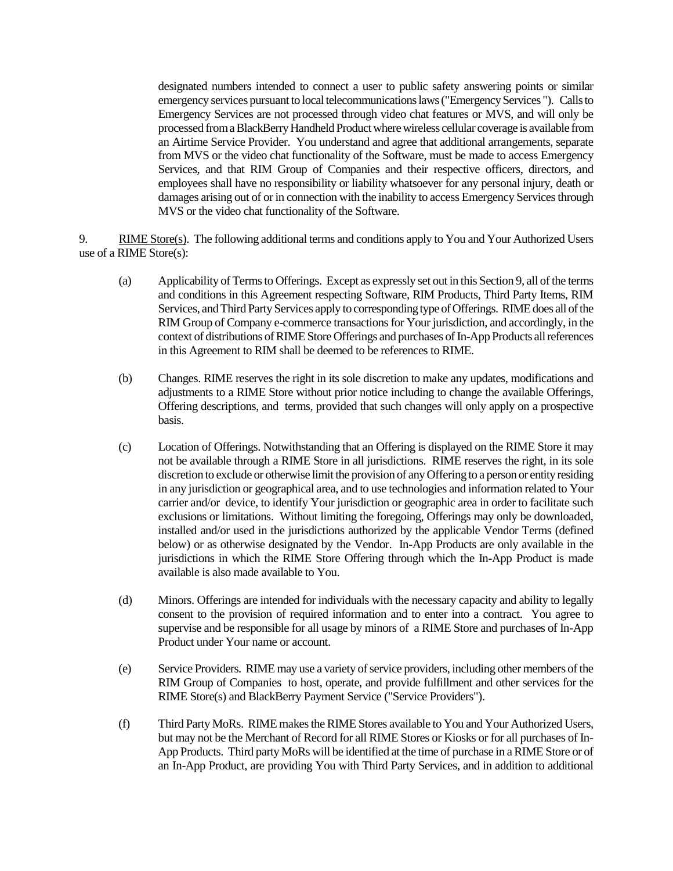designated numbers intended to connect a user to public safety answering points or similar emergency services pursuant to local telecommunications laws ("Emergency Services "). Calls to Emergency Services are not processed through video chat features or MVS, and will only be processed from a BlackBerry Handheld Product where wireless cellular coverage is available from an Airtime Service Provider. You understand and agree that additional arrangements, separate from MVS or the video chat functionality of the Software, must be made to access Emergency Services, and that RIM Group of Companies and their respective officers, directors, and employees shall have no responsibility or liability whatsoever for any personal injury, death or damages arising out of or in connection with the inability to access Emergency Services through MVS or the video chat functionality of the Software.

9. RIME Store(s).The following additional terms and conditions apply to You and Your Authorized Users use of a RIME Store(s):

- (a) Applicability of Terms to Offerings. Except as expressly set out in this Section 9, all of the terms and conditions in this Agreement respecting Software, RIM Products, Third Party Items, RIM Services, and Third Party Services apply to corresponding type of Offerings. RIME does all of the RIM Group of Company e-commerce transactions for Your jurisdiction, and accordingly, in the context of distributions of RIME Store Offerings and purchases of In-App Products allreferences in this Agreement to RIM shall be deemed to be references to RIME.
- (b) Changes. RIME reserves the right in its sole discretion to make any updates, modifications and adjustments to a RIME Store without prior notice including to change the available Offerings, Offering descriptions, and terms, provided that such changes will only apply on a prospective basis.
- (c) Location of Offerings. Notwithstanding that an Offering is displayed on the RIME Store it may not be available through a RIME Store in all jurisdictions. RIME reserves the right, in its sole discretion to exclude or otherwise limit the provision of any Offering to a person or entity residing in any jurisdiction or geographical area, and to use technologies and information related to Your carrier and/or device, to identify Your jurisdiction or geographic area in order to facilitate such exclusions or limitations. Without limiting the foregoing, Offerings may only be downloaded, installed and/or used in the jurisdictions authorized by the applicable Vendor Terms (defined below) or as otherwise designated by the Vendor. In-App Products are only available in the jurisdictions in which the RIME Store Offering through which the In-App Product is made available is also made available to You.
- (d) Minors. Offerings are intended for individuals with the necessary capacity and ability to legally consent to the provision of required information and to enter into a contract. You agree to supervise and be responsible for all usage by minors of a RIME Store and purchases of In-App Product under Your name or account.
- (e) Service Providers. RIME may use a variety of service providers, including other members of the RIM Group of Companies to host, operate, and provide fulfillment and other services for the RIME Store(s) and BlackBerry Payment Service ("Service Providers").
- (f) Third Party MoRs. RIME makes the RIME Stores available to You and Your Authorized Users, but may not be the Merchant of Record for all RIME Stores or Kiosks or for all purchases of In-App Products. Third party MoRs will be identified at the time of purchase in a RIME Store or of an In-App Product, are providing You with Third Party Services, and in addition to additional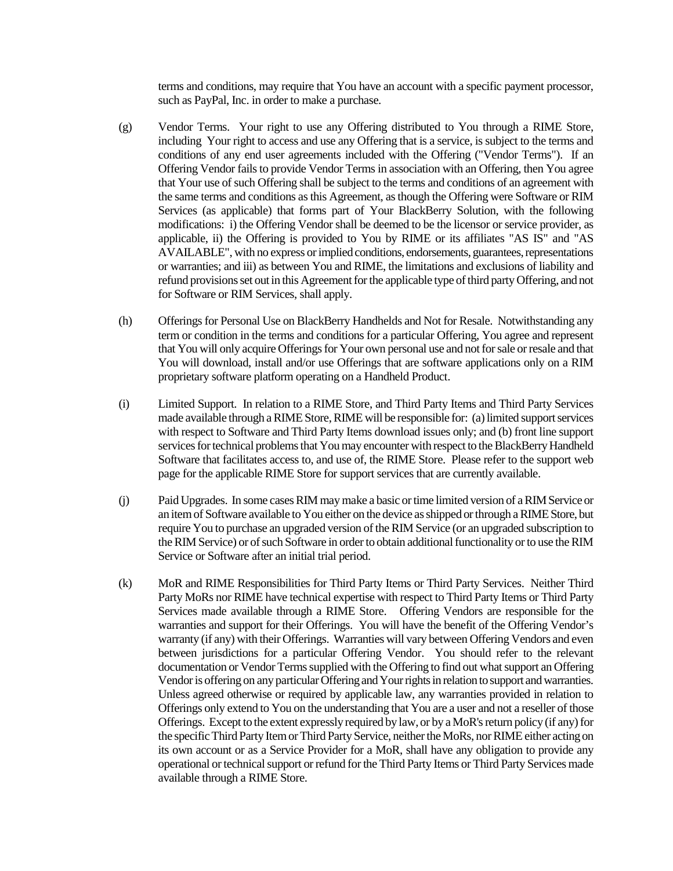terms and conditions, may require that You have an account with a specific payment processor, such as PayPal, Inc. in order to make a purchase.

- (g) Vendor Terms. Your right to use any Offering distributed to You through a RIME Store, including Your right to access and use any Offering that is a service, is subject to the terms and conditions of any end user agreements included with the Offering ("Vendor Terms"). If an Offering Vendor fails to provide Vendor Terms in association with an Offering, then You agree that Your use of such Offering shall be subject to the terms and conditions of an agreement with the same terms and conditions as this Agreement, as though the Offering were Software or RIM Services (as applicable) that forms part of Your BlackBerry Solution, with the following modifications: i) the Offering Vendor shall be deemed to be the licensor or service provider, as applicable, ii) the Offering is provided to You by RIME or its affiliates "AS IS" and "AS AVAILABLE", with no express or implied conditions, endorsements, guarantees, representations or warranties; and iii) as between You and RIME, the limitations and exclusions of liability and refund provisions set out in this Agreement for the applicable type of third party Offering, and not for Software or RIM Services, shall apply.
- (h) Offerings for Personal Use on BlackBerry Handhelds and Not for Resale. Notwithstanding any term or condition in the terms and conditions for a particular Offering, You agree and represent that You will only acquire Offerings for Your own personal use and not for sale or resale and that You will download, install and/or use Offerings that are software applications only on a RIM proprietary software platform operating on a Handheld Product.
- (i) Limited Support. In relation to a RIME Store, and Third Party Items and Third Party Services made available through a RIME Store, RIME will be responsible for: (a) limited support services with respect to Software and Third Party Items download issues only; and (b) front line support services for technical problems that You may encounter with respect to the BlackBerry Handheld Software that facilitates access to, and use of, the RIME Store. Please refer to the support web page for the applicable RIME Store for support services that are currently available.
- (j) Paid Upgrades. In some cases RIM may make a basic or time limited version of a RIM Service or an item of Software available to You either on the device as shipped or through a RIME Store, but require You to purchase an upgraded version of the RIM Service (or an upgraded subscription to the RIM Service) or of such Software in order to obtain additional functionality or to use the RIM Service or Software after an initial trial period.
- (k) MoR and RIME Responsibilities for Third Party Items or Third Party Services. Neither Third Party MoRs nor RIME have technical expertise with respect to Third Party Items or Third Party Services made available through a RIME Store. Offering Vendors are responsible for the warranties and support for their Offerings. You will have the benefit of the Offering Vendor's warranty (if any) with their Offerings. Warranties will vary between Offering Vendors and even between jurisdictions for a particular Offering Vendor. You should refer to the relevant documentation or Vendor Terms supplied with the Offering to find out what support an Offering Vendor is offering on any particular Offering and Your rights in relation to support and warranties. Unless agreed otherwise or required by applicable law, any warranties provided in relation to Offerings only extend to You on the understanding that You are a user and not a reseller of those Offerings. Except to the extent expressly required by law, or by aMoR's return policy (if any) for the specific Third Party Item or Third Party Service, neither the MoRs, nor RIME either acting on its own account or as a Service Provider for a MoR, shall have any obligation to provide any operational or technical support or refund for the Third Party Items or Third Party Services made available through a RIME Store.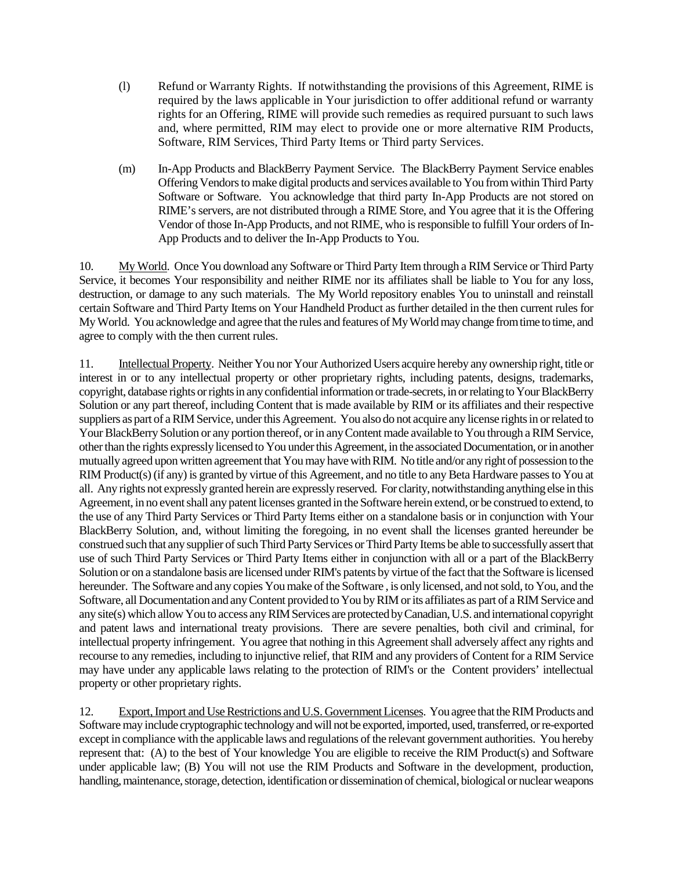- (l) Refund or Warranty Rights. If notwithstanding the provisions of this Agreement, RIME is required by the laws applicable in Your jurisdiction to offer additional refund or warranty rights for an Offering, RIME will provide such remedies as required pursuant to such laws and, where permitted, RIM may elect to provide one or more alternative RIM Products, Software, RIM Services, Third Party Items or Third party Services.
- (m) In-App Products and BlackBerry Payment Service. The BlackBerry Payment Service enables Offering Vendorsto make digital products and services available to You from within Third Party Software or Software. You acknowledge that third party In-App Products are not stored on RIME's servers, are not distributed through a RIME Store, and You agree that it is the Offering Vendor of those In-App Products, and not RIME, who is responsible to fulfill Your orders of In-App Products and to deliver the In-App Products to You.

10. My World. Once You download any Software or Third Party Item through a RIM Service or Third Party Service, it becomes Your responsibility and neither RIME nor its affiliates shall be liable to You for any loss, destruction, or damage to any such materials. The My World repository enables You to uninstall and reinstall certain Software and Third Party Items on Your Handheld Product as further detailed in the then current rules for My World. You acknowledge and agree that the rules and features of My World may change from time to time, and agree to comply with the then current rules.

11. Intellectual Property. Neither You nor Your Authorized Users acquire hereby any ownership right, title or interest in or to any intellectual property or other proprietary rights, including patents, designs, trademarks, copyright, database rights or rights in any confidential information or trade-secrets, in or relating to Your BlackBerry Solution or any part thereof, including Content that is made available by RIM or its affiliates and their respective suppliers as part of a RIM Service, under this Agreement. You also do not acquire any license rights in or related to Your BlackBerry Solution or any portion thereof, or in any Content made available to You through a RIM Service, other than the rights expressly licensed to You under this Agreement, in the associated Documentation, or in another mutually agreed upon written agreement that You may have with RIM. No title and/or any right of possession to the RIM Product(s) (if any) is granted by virtue of this Agreement, and no title to any Beta Hardware passes to You at all. Any rights not expressly granted herein are expressly reserved. For clarity, notwithstanding anything else in this Agreement, in no event shall any patent licenses granted in the Software herein extend, or be construed to extend, to the use of any Third Party Services or Third Party Items either on a standalone basis or in conjunction with Your BlackBerry Solution, and, without limiting the foregoing, in no event shall the licenses granted hereunder be construed such that any supplier of such Third Party Services or Third Party Items be able to successfully assert that use of such Third Party Services or Third Party Items either in conjunction with all or a part of the BlackBerry Solution or on a standalone basis are licensed under RIM's patents by virtue of the fact that the Software is licensed hereunder. The Software and any copies You make of the Software , is only licensed, and not sold, to You, and the Software, all Documentation and any Content provided to You by RIM or its affiliates as part of a RIM Service and any site(s) which allow You to access any RIM Services are protected by Canadian, U.S. and international copyright and patent laws and international treaty provisions. There are severe penalties, both civil and criminal, for intellectual property infringement. You agree that nothing in this Agreement shall adversely affect any rights and recourse to any remedies, including to injunctive relief, that RIM and any providers of Content for a RIM Service may have under any applicable laws relating to the protection of RIM's or the Content providers' intellectual property or other proprietary rights.

12. Export, Import and Use Restrictions and U.S. Government Licenses. You agree that the RIM Products and Software may include cryptographic technology and will not be exported, imported, used, transferred, or re-exported except in compliance with the applicable laws and regulations of the relevant government authorities. You hereby represent that: (A) to the best of Your knowledge You are eligible to receive the RIM Product(s) and Software under applicable law; (B) You will not use the RIM Products and Software in the development, production, handling, maintenance, storage, detection, identification or dissemination of chemical, biological or nuclear weapons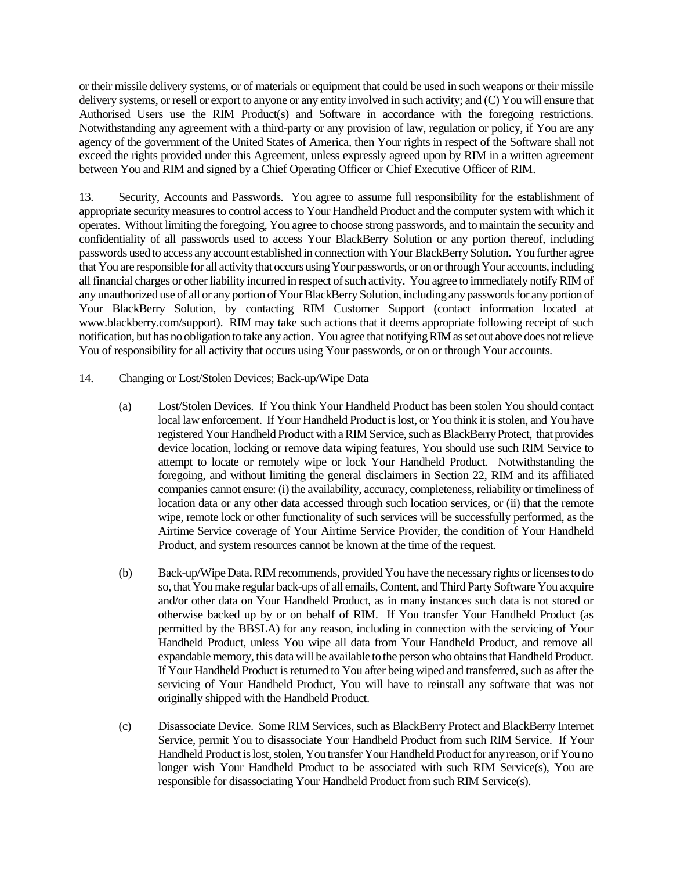or their missile delivery systems, or of materials or equipment that could be used in such weapons or their missile delivery systems, or resell or export to anyone or any entity involved in such activity; and (C) You will ensure that Authorised Users use the RIM Product(s) and Software in accordance with the foregoing restrictions. Notwithstanding any agreement with a third-party or any provision of law, regulation or policy, if You are any agency of the government of the United States of America, then Your rights in respect of the Software shall not exceed the rights provided under this Agreement, unless expressly agreed upon by RIM in a written agreement between You and RIM and signed by a Chief Operating Officer or Chief Executive Officer of RIM.

13. Security, Accounts and Passwords. You agree to assume full responsibility for the establishment of appropriate security measures to control access to Your Handheld Product and the computer system with which it operates. Without limiting the foregoing, You agree to choose strong passwords, and to maintain the security and confidentiality of all passwords used to access Your BlackBerry Solution or any portion thereof, including passwords used to access any account established in connection with Your BlackBerry Solution. You further agree that You are responsible for all activity that occurs using Your passwords, or on or through Your accounts, including all financial charges or other liability incurred in respect of such activity. You agree to immediately notify RIM of any unauthorized use of all or any portion of Your BlackBerry Solution, including any passwords for any portion of Your BlackBerry Solution, by contacting RIM Customer Support (contact information located at www.blackberry.com/support). RIM may take such actions that it deems appropriate following receipt of such notification, but has no obligation to take any action. You agree that notifying RIM as set out above does not relieve You of responsibility for all activity that occurs using Your passwords, or on or through Your accounts.

## 14. Changing or Lost/Stolen Devices; Back-up/Wipe Data

- (a) Lost/Stolen Devices. If You think Your Handheld Product has been stolen You should contact local law enforcement. If Your Handheld Product is lost, or You think it is stolen, and You have registered Your Handheld Product with a RIM Service, such as BlackBerry Protect, that provides device location, locking or remove data wiping features, You should use such RIM Service to attempt to locate or remotely wipe or lock Your Handheld Product. Notwithstanding the foregoing, and without limiting the general disclaimers in Section 22, RIM and its affiliated companies cannot ensure: (i) the availability, accuracy, completeness, reliability or timeliness of location data or any other data accessed through such location services, or (ii) that the remote wipe, remote lock or other functionality of such services will be successfully performed, as the Airtime Service coverage of Your Airtime Service Provider, the condition of Your Handheld Product, and system resources cannot be known at the time of the request.
- (b) Back-up/Wipe Data. RIM recommends, provided You have the necessary rights or licenses to do so, that You make regular back-ups of all emails, Content, and Third Party Software You acquire and/or other data on Your Handheld Product, as in many instances such data is not stored or otherwise backed up by or on behalf of RIM. If You transfer Your Handheld Product (as permitted by the BBSLA) for any reason, including in connection with the servicing of Your Handheld Product, unless You wipe all data from Your Handheld Product, and remove all expandable memory, this data will be available to the person who obtains that Handheld Product. If Your Handheld Product is returned to You after being wiped and transferred, such as after the servicing of Your Handheld Product, You will have to reinstall any software that was not originally shipped with the Handheld Product.
- (c) Disassociate Device. Some RIM Services, such as BlackBerry Protect and BlackBerry Internet Service, permit You to disassociate Your Handheld Product from such RIM Service. If Your Handheld Product is lost, stolen, You transfer Your Handheld Product for any reason, or if You no longer wish Your Handheld Product to be associated with such RIM Service(s), You are responsible for disassociating Your Handheld Product from such RIM Service(s).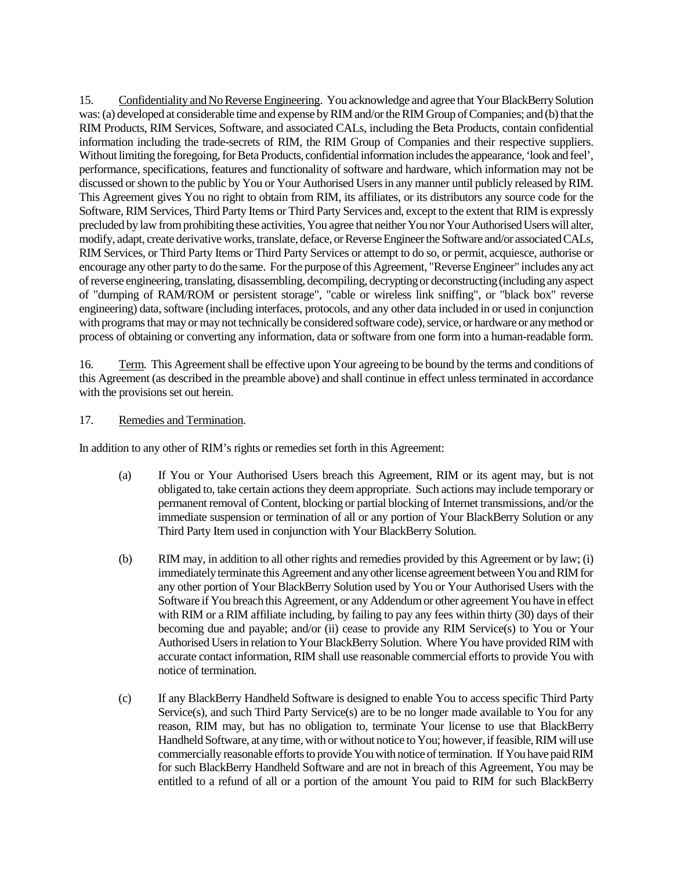15. Confidentiality and No Reverse Engineering. You acknowledge and agree that YourBlackBerry Solution was: (a) developed at considerable time and expense by RIM and/or the RIM Group of Companies; and (b) that the RIM Products, RIM Services, Software, and associated CALs, including the Beta Products, contain confidential information including the trade-secrets of RIM, the RIM Group of Companies and their respective suppliers. Without limiting the foregoing, for Beta Products, confidential information includes the appearance, 'look and feel', performance, specifications, features and functionality of software and hardware, which information may not be discussed or shown to the public by You or Your Authorised Users in any manner until publicly released by RIM. This Agreement gives You no right to obtain from RIM, its affiliates, or its distributors any source code for the Software, RIM Services, Third Party Items or Third Party Services and, except to the extent that RIM is expressly precluded by law from prohibiting these activities, You agree that neither You nor Your Authorised Users will alter, modify, adapt, create derivative works, translate, deface, or Reverse Engineer the Software and/or associated CALs, RIM Services, or Third Party Items or Third Party Services or attempt to do so, or permit, acquiesce, authorise or encourage any other party to do the same. For the purpose of this Agreement, "Reverse Engineer" includes any act of reverse engineering, translating, disassembling, decompiling, decrypting or deconstructing (including any aspect of "dumping of RAM/ROM or persistent storage", "cable or wireless link sniffing", or "black box" reverse engineering) data, software (including interfaces, protocols, and any other data included in or used in conjunction with programs that may or may not technically be considered software code), service, or hardware or any method or process of obtaining or converting any information, data or software from one form into a human-readable form.

16. Term. This Agreement shall be effective upon Your agreeing to be bound by the terms and conditions of this Agreement (as described in the preamble above) and shall continue in effect unless terminated in accordance with the provisions set out herein.

## 17. Remedies and Termination.

In addition to any other of RIM's rights or remedies set forth in this Agreement:

- (a) If You or Your Authorised Users breach this Agreement, RIM or its agent may, but is not obligated to, take certain actions they deem appropriate. Such actions may include temporary or permanent removal of Content, blocking or partial blocking of Internet transmissions, and/or the immediate suspension or termination of all or any portion of Your BlackBerry Solution or any Third Party Item used in conjunction with Your BlackBerry Solution.
- (b) RIM may, in addition to all other rights and remedies provided by this Agreement or by law; (i) immediately terminate this Agreement and any other license agreement between You and RIM for any other portion of Your BlackBerry Solution used by You or Your Authorised Users with the Software if You breach this Agreement, or any Addendum or other agreement You have in effect with RIM or a RIM affiliate including, by failing to pay any fees within thirty (30) days of their becoming due and payable; and/or (ii) cease to provide any RIM Service(s) to You or Your Authorised Users in relation to Your BlackBerry Solution. Where You have provided RIM with accurate contact information, RIM shall use reasonable commercial efforts to provide You with notice of termination.
- (c) If any BlackBerry Handheld Software is designed to enable You to access specific Third Party Service(s), and such Third Party Service(s) are to be no longer made available to You for any reason, RIM may, but has no obligation to, terminate Your license to use that BlackBerry Handheld Software, at any time, with or without notice to You; however, if feasible, RIM will use commercially reasonable efforts to provide You with notice of termination. If You have paid RIM for such BlackBerry Handheld Software and are not in breach of this Agreement, You may be entitled to a refund of all or a portion of the amount You paid to RIM for such BlackBerry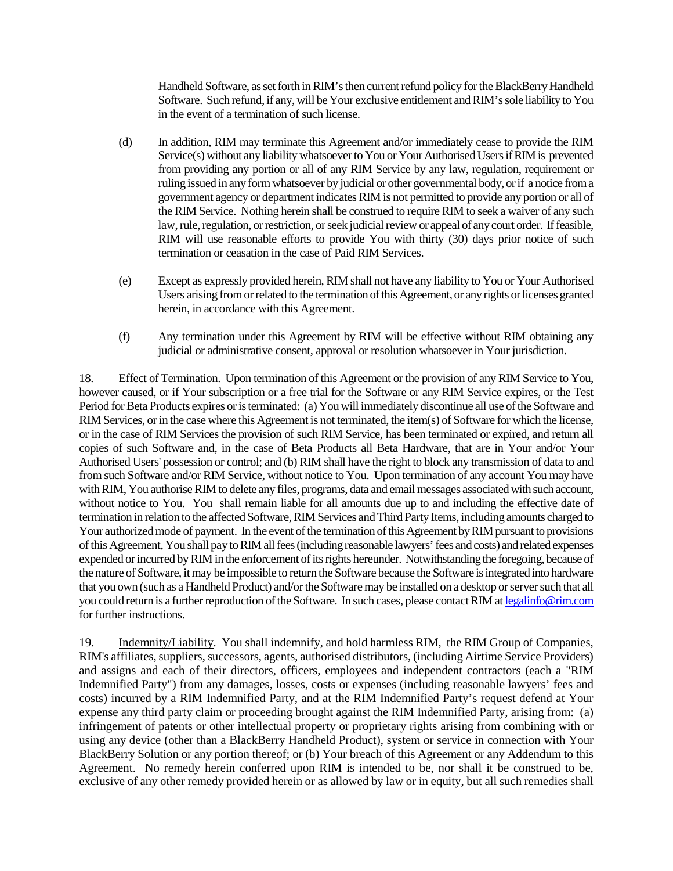Handheld Software, as set forth in RIM's then current refund policy for the BlackBerry Handheld Software. Such refund, if any, will be Your exclusive entitlement and RIM's sole liability to You in the event of a termination of such license.

- (d) In addition, RIM may terminate this Agreement and/or immediately cease to provide the RIM Service(s) without any liability whatsoever to You or Your Authorised Users if RIM is prevented from providing any portion or all of any RIM Service by any law, regulation, requirement or ruling issued in any form whatsoever by judicial or other governmental body, or if a notice from a government agency or department indicates RIM is not permitted to provide any portion or all of the RIM Service. Nothing herein shall be construed to require RIM to seek a waiver of any such law, rule, regulation, or restriction, or seek judicial review or appeal of any court order. If feasible, RIM will use reasonable efforts to provide You with thirty (30) days prior notice of such termination or ceasation in the case of Paid RIM Services.
- (e) Except as expressly provided herein, RIM shall not have any liability to You or Your Authorised Users arising from or related to the termination of this Agreement, or any rights or licenses granted herein, in accordance with this Agreement.
- (f) Any termination under this Agreement by RIM will be effective without RIM obtaining any judicial or administrative consent, approval or resolution whatsoever in Your jurisdiction.

18. Effect of Termination. Upon termination of this Agreement or the provision of any RIM Service to You, however caused, or if Your subscription or a free trial for the Software or any RIM Service expires, or the Test Period for Beta Products expires or is terminated: (a) You will immediately discontinue all use of the Software and RIM Services, or in the case where this Agreement is not terminated, the item(s) of Software for which the license, or in the case of RIM Services the provision of such RIM Service, has been terminated or expired, and return all copies of such Software and, in the case of Beta Products all Beta Hardware, that are in Your and/or Your Authorised Users' possession or control; and (b) RIM shall have the right to block any transmission of data to and from such Software and/or RIM Service, without notice to You. Upon termination of any account You may have with RIM, You authorise RIM to delete any files, programs, data and email messages associated with such account, without notice to You. You shall remain liable for all amounts due up to and including the effective date of termination in relation to the affected Software, RIM Services and Third Party Items, including amounts charged to Your authorized mode of payment. In the event of the termination of this Agreement by RIM pursuant to provisions of this Agreement, You shall pay to RIM all fees (including reasonable lawyers' fees and costs) and related expenses expended or incurred by RIM in the enforcement of its rights hereunder. Notwithstanding the foregoing, because of the nature of Software, it may be impossible to return the Software because the Software is integrated into hardware that you own (such as a Handheld Product) and/or the Software may be installed on a desktop or server such that all you could return is a further reproduction of the Software. In such cases, please contact RIM at legalinfo@rim.com for further instructions.

19. Indemnity/Liability. You shall indemnify, and hold harmless RIM, the RIM Group of Companies, RIM's affiliates, suppliers, successors, agents, authorised distributors, (including Airtime Service Providers) and assigns and each of their directors, officers, employees and independent contractors (each a "RIM Indemnified Party") from any damages, losses, costs or expenses (including reasonable lawyers' fees and costs) incurred by a RIM Indemnified Party, and at the RIM Indemnified Party's request defend at Your expense any third party claim or proceeding brought against the RIM Indemnified Party, arising from: (a) infringement of patents or other intellectual property or proprietary rights arising from combining with or using any device (other than a BlackBerry Handheld Product), system or service in connection with Your BlackBerry Solution or any portion thereof; or (b) Your breach of this Agreement or any Addendum to this Agreement. No remedy herein conferred upon RIM is intended to be, nor shall it be construed to be, exclusive of any other remedy provided herein or as allowed by law or in equity, but all such remedies shall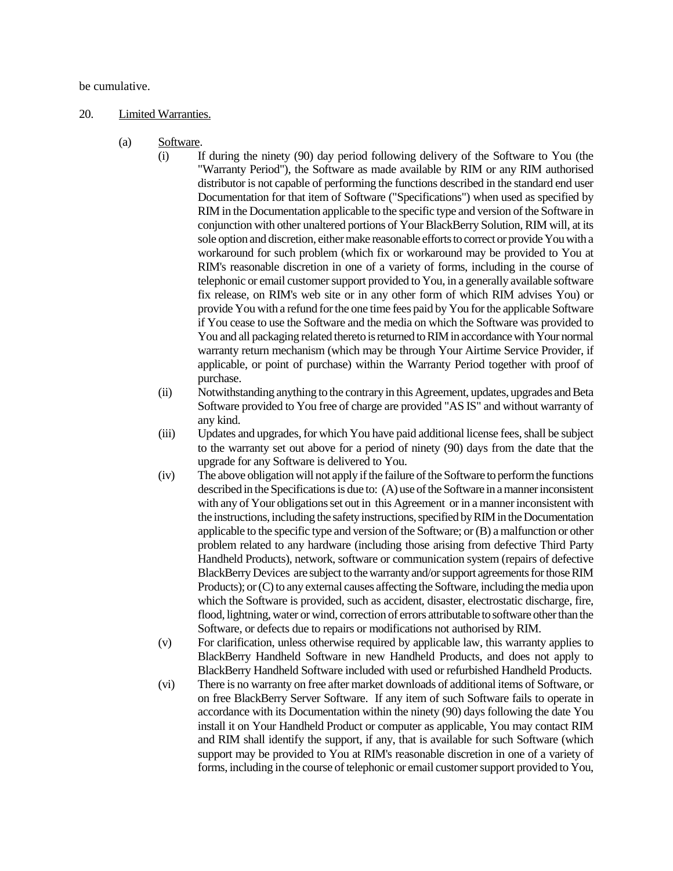be cumulative.

#### 20. Limited Warranties.

- (a) Software.
	- (i) If during the ninety (90) day period following delivery of the Software to You (the "Warranty Period"), the Software as made available by RIM or any RIM authorised distributor is not capable of performing the functions described in the standard end user Documentation for that item of Software ("Specifications") when used as specified by RIM in the Documentation applicable to the specific type and version of the Software in conjunction with other unaltered portions of Your BlackBerry Solution, RIM will, at its sole option and discretion, either make reasonable efforts to correct or provide You with a workaround for such problem (which fix or workaround may be provided to You at RIM's reasonable discretion in one of a variety of forms, including in the course of telephonic or email customer support provided to You, in a generally available software fix release, on RIM's web site or in any other form of which RIM advises You) or provide You with a refund for the one time fees paid by You for the applicable Software if You cease to use the Software and the media on which the Software was provided to You and all packaging related thereto is returned to RIM in accordance with Your normal warranty return mechanism (which may be through Your Airtime Service Provider, if applicable, or point of purchase) within the Warranty Period together with proof of purchase.
	- (ii) Notwithstanding anything to the contrary in this Agreement, updates, upgrades and Beta Software provided to You free of charge are provided "AS IS" and without warranty of any kind.
	- (iii) Updates and upgrades, for which You have paid additional license fees, shall be subject to the warranty set out above for a period of ninety (90) days from the date that the upgrade for any Software is delivered to You.
	- (iv) The above obligation will not apply if the failure of the Software to perform the functions described in the Specifications is due to: (A) use of the Software in a manner inconsistent with any of Your obligations set out in this Agreement or in a manner inconsistent with the instructions, including the safety instructions, specified by RIM in the Documentation applicable to the specific type and version of the Software; or (B) a malfunction or other problem related to any hardware (including those arising from defective Third Party Handheld Products), network, software or communication system (repairs of defective BlackBerry Devices are subject to the warranty and/or support agreements for those RIM Products); or (C) to any external causes affecting the Software, including the media upon which the Software is provided, such as accident, disaster, electrostatic discharge, fire, flood, lightning, water or wind, correction of errors attributable to software other than the Software, or defects due to repairs or modifications not authorised by RIM.
	- (v) For clarification, unless otherwise required by applicable law, this warranty applies to BlackBerry Handheld Software in new Handheld Products, and does not apply to BlackBerry Handheld Software included with used or refurbished Handheld Products.
	- (vi) There is no warranty on free after market downloads of additional items of Software, or on free BlackBerry Server Software. If any item of such Software fails to operate in accordance with its Documentation within the ninety (90) days following the date You install it on Your Handheld Product or computer as applicable, You may contact RIM and RIM shall identify the support, if any, that is available for such Software (which support may be provided to You at RIM's reasonable discretion in one of a variety of forms, including in the course of telephonic or email customer support provided to You,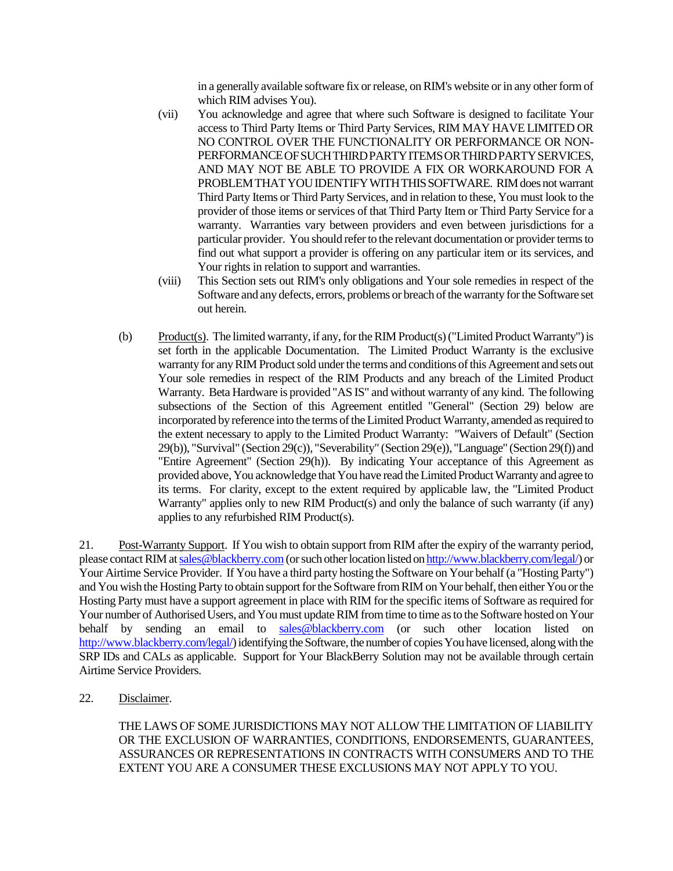in a generally available software fix or release, on RIM's website or in any other form of which RIM advises You).

- (vii) You acknowledge and agree that where such Software is designed to facilitate Your access to Third Party Items or Third Party Services, RIM MAY HAVE LIMITED OR NO CONTROL OVER THE FUNCTIONALITY OR PERFORMANCE OR NON-PERFORMANCE OF SUCH THIRD PARTY ITEMS OR THIRD PARTY SERVICES, AND MAY NOT BE ABLE TO PROVIDE A FIX OR WORKAROUND FOR A PROBLEMTHATYOUIDENTIFYWITHTHISSOFTWARE. RIM does not warrant Third Party Items or Third Party Services, and in relation to these, You must look to the provider of those items or services of that Third Party Item or Third Party Service for a warranty. Warranties vary between providers and even between jurisdictions for a particular provider. You should refer to the relevant documentation or provider terms to find out what support a provider is offering on any particular item or its services, and Your rights in relation to support and warranties.
- (viii) This Section sets out RIM's only obligations and Your sole remedies in respect of the Software and any defects, errors, problems or breach of the warranty for the Software set out herein.
- (b) Product(s). The limited warranty, if any, for the RIM Product(s) ("Limited Product Warranty") is set forth in the applicable Documentation. The Limited Product Warranty is the exclusive warranty for any RIM Product sold under the terms and conditions of this Agreement and sets out Your sole remedies in respect of the RIM Products and any breach of the Limited Product Warranty. Beta Hardware is provided "AS IS" and without warranty of any kind. The following subsections of the Section of this Agreement entitled "General" (Section 29) below are incorporated by reference into the terms of the Limited Product Warranty, amended as required to the extent necessary to apply to the Limited Product Warranty: "Waivers of Default" (Section 29(b)), "Survival" (Section 29(c)), "Severability" (Section 29(e)), "Language" (Section 29(f)) and "Entire Agreement" (Section 29(h)). By indicating Your acceptance of this Agreement as provided above, You acknowledge that You have read the Limited Product Warranty and agree to its terms. For clarity, except to the extent required by applicable law, the "Limited Product Warranty" applies only to new RIM Product(s) and only the balance of such warranty (if any) applies to any refurbished RIM Product(s).

21. Post-Warranty Support. If You wish to obtain support from RIM after the expiry of the warranty period, please contact RIM at sales@blackberry.com(or such other location listed on http://www.blackberry.com/legal/) or Your Airtime Service Provider. If You have a third party hosting the Software on Your behalf (a "Hosting Party") and You wish the Hosting Party to obtain support for the Software from RIM on Your behalf, then either You or the Hosting Party must have a support agreement in place with RIM for the specific items of Software as required for Your number of Authorised Users, and You must update RIM from time to time as to the Software hosted on Your behalf by sending an email to sales@blackberry.com (or such other location listed on http://www.blackberry.com/legal/) identifying the Software, the number of copies You have licensed, along with the SRP IDs and CALs as applicable. Support for Your BlackBerry Solution may not be available through certain Airtime Service Providers.

22. Disclaimer.

THE LAWS OF SOME JURISDICTIONS MAY NOT ALLOW THE LIMITATION OF LIABILITY OR THE EXCLUSION OF WARRANTIES, CONDITIONS, ENDORSEMENTS, GUARANTEES, ASSURANCES OR REPRESENTATIONS IN CONTRACTS WITH CONSUMERS AND TO THE EXTENT YOU ARE A CONSUMER THESE EXCLUSIONS MAY NOT APPLY TO YOU.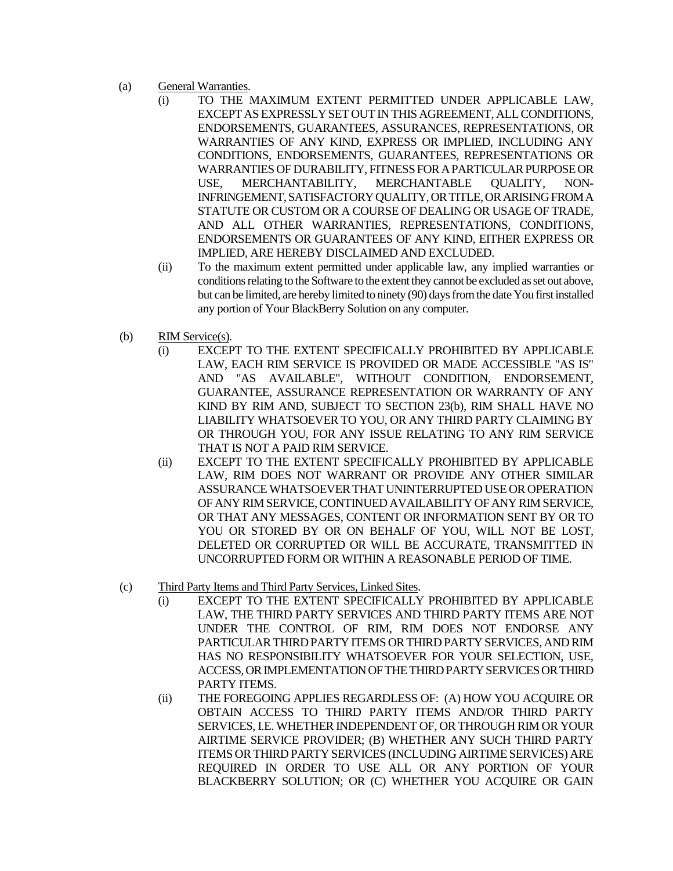- (a) General Warranties.
	- (i) TO THE MAXIMUM EXTENT PERMITTED UNDER APPLICABLE LAW, EXCEPT AS EXPRESSLY SET OUT IN THIS AGREEMENT, ALL CONDITIONS, ENDORSEMENTS, GUARANTEES, ASSURANCES, REPRESENTATIONS, OR WARRANTIES OF ANY KIND, EXPRESS OR IMPLIED, INCLUDING ANY CONDITIONS, ENDORSEMENTS, GUARANTEES, REPRESENTATIONS OR WARRANTIES OF DURABILITY, FITNESS FOR A PARTICULAR PURPOSE OR USE, MERCHANTABILITY, MERCHANTABLE QUALITY, NON-INFRINGEMENT, SATISFACTORY QUALITY, OR TITLE, OR ARISING FROM A STATUTE OR CUSTOM OR A COURSE OF DEALING OR USAGE OF TRADE, AND ALL OTHER WARRANTIES, REPRESENTATIONS, CONDITIONS, ENDORSEMENTS OR GUARANTEES OF ANY KIND, EITHER EXPRESS OR IMPLIED, ARE HEREBY DISCLAIMED AND EXCLUDED.
	- (ii) To the maximum extent permitted under applicable law, any implied warranties or conditions relating to the Software to the extent they cannot be excluded as set out above, but can be limited, are hereby limited to ninety (90) days from the date You first installed any portion of Your BlackBerry Solution on any computer.
- (b) RIM Service(s).
	- (i) EXCEPT TO THE EXTENT SPECIFICALLY PROHIBITED BY APPLICABLE LAW, EACH RIM SERVICE IS PROVIDED OR MADE ACCESSIBLE "AS IS" AND "AS AVAILABLE", WITHOUT CONDITION, ENDORSEMENT, GUARANTEE, ASSURANCE REPRESENTATION OR WARRANTY OF ANY KIND BY RIM AND, SUBJECT TO SECTION 23(b), RIM SHALL HAVE NO LIABILITY WHATSOEVER TO YOU, OR ANY THIRD PARTY CLAIMING BY OR THROUGH YOU, FOR ANY ISSUE RELATING TO ANY RIM SERVICE THAT IS NOT A PAID RIM SERVICE.
	- (ii) EXCEPT TO THE EXTENT SPECIFICALLY PROHIBITED BY APPLICABLE LAW, RIM DOES NOT WARRANT OR PROVIDE ANY OTHER SIMILAR ASSURANCE WHATSOEVER THAT UNINTERRUPTED USE OR OPERATION OF ANY RIM SERVICE, CONTINUED AVAILABILITY OF ANY RIM SERVICE, OR THAT ANY MESSAGES, CONTENT OR INFORMATION SENT BY OR TO YOU OR STORED BY OR ON BEHALF OF YOU, WILL NOT BE LOST, DELETED OR CORRUPTED OR WILL BE ACCURATE, TRANSMITTED IN UNCORRUPTED FORM OR WITHIN A REASONABLE PERIOD OF TIME.
- (c) Third Party Items and Third Party Services, Linked Sites.
	- (i) EXCEPT TO THE EXTENT SPECIFICALLY PROHIBITED BY APPLICABLE LAW, THE THIRD PARTY SERVICES AND THIRD PARTY ITEMS ARE NOT UNDER THE CONTROL OF RIM, RIM DOES NOT ENDORSE ANY PARTICULAR THIRD PARTY ITEMS OR THIRD PARTY SERVICES, AND RIM HAS NO RESPONSIBILITY WHATSOEVER FOR YOUR SELECTION, USE, ACCESS, OR IMPLEMENTATION OF THE THIRD PARTY SERVICES OR THIRD PARTY ITEMS.
	- (ii) THE FOREGOING APPLIES REGARDLESS OF: (A) HOW YOU ACQUIRE OR OBTAIN ACCESS TO THIRD PARTY ITEMS AND/OR THIRD PARTY SERVICES, I.E. WHETHER INDEPENDENT OF, OR THROUGH RIM OR YOUR AIRTIME SERVICE PROVIDER; (B) WHETHER ANY SUCH THIRD PARTY ITEMS OR THIRD PARTY SERVICES (INCLUDING AIRTIME SERVICES) ARE REQUIRED IN ORDER TO USE ALL OR ANY PORTION OF YOUR BLACKBERRY SOLUTION; OR (C) WHETHER YOU ACQUIRE OR GAIN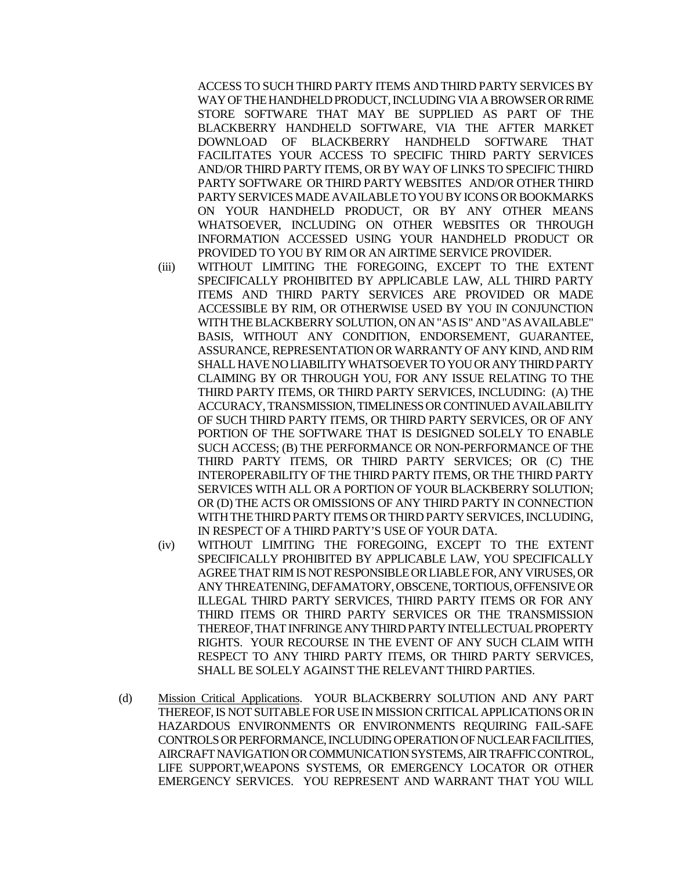ACCESS TO SUCH THIRD PARTY ITEMS AND THIRD PARTY SERVICES BY WAY OF THE HANDHELD PRODUCT, INCLUDING VIA A BROWSER OR RIME STORE SOFTWARE THAT MAY BE SUPPLIED AS PART OF THE BLACKBERRY HANDHELD SOFTWARE, VIA THE AFTER MARKET DOWNLOAD OF BLACKBERRY HANDHELD SOFTWARE THAT FACILITATES YOUR ACCESS TO SPECIFIC THIRD PARTY SERVICES AND/OR THIRD PARTY ITEMS, OR BY WAY OF LINKS TO SPECIFIC THIRD PARTY SOFTWARE OR THIRD PARTY WEBSITES AND/OR OTHER THIRD PARTY SERVICES MADE AVAILABLE TO YOU BY ICONS OR BOOKMARKS ON YOUR HANDHELD PRODUCT, OR BY ANY OTHER MEANS WHATSOEVER, INCLUDING ON OTHER WEBSITES OR THROUGH INFORMATION ACCESSED USING YOUR HANDHELD PRODUCT OR PROVIDED TO YOU BY RIM OR AN AIRTIME SERVICE PROVIDER.

- (iii) WITHOUT LIMITING THE FOREGOING, EXCEPT TO THE EXTENT SPECIFICALLY PROHIBITED BY APPLICABLE LAW, ALL THIRD PARTY ITEMS AND THIRD PARTY SERVICES ARE PROVIDED OR MADE ACCESSIBLE BY RIM, OR OTHERWISE USED BY YOU IN CONJUNCTION WITH THE BLACKBERRY SOLUTION, ON AN "AS IS" AND "AS AVAILABLE" BASIS, WITHOUT ANY CONDITION, ENDORSEMENT, GUARANTEE, ASSURANCE, REPRESENTATION OR WARRANTY OF ANY KIND, AND RIM SHALL HAVE NO LIABILITY WHATSOEVER TO YOU OR ANY THIRD PARTY CLAIMING BY OR THROUGH YOU, FOR ANY ISSUE RELATING TO THE THIRD PARTY ITEMS, OR THIRD PARTY SERVICES, INCLUDING: (A) THE ACCURACY, TRANSMISSION, TIMELINESS OR CONTINUED AVAILABILITY OF SUCH THIRD PARTY ITEMS, OR THIRD PARTY SERVICES, OR OF ANY PORTION OF THE SOFTWARE THAT IS DESIGNED SOLELY TO ENABLE SUCH ACCESS; (B) THE PERFORMANCE OR NON-PERFORMANCE OF THE THIRD PARTY ITEMS, OR THIRD PARTY SERVICES; OR (C) THE INTEROPERABILITY OF THE THIRD PARTY ITEMS, OR THE THIRD PARTY SERVICES WITH ALL OR A PORTION OF YOUR BLACKBERRY SOLUTION; OR (D) THE ACTS OR OMISSIONS OF ANY THIRD PARTY IN CONNECTION WITH THE THIRD PARTY ITEMS OR THIRD PARTY SERVICES, INCLUDING, IN RESPECT OF A THIRD PARTY'S USE OF YOUR DATA.
- (iv) WITHOUT LIMITING THE FOREGOING, EXCEPT TO THE EXTENT SPECIFICALLY PROHIBITED BY APPLICABLE LAW, YOU SPECIFICALLY AGREE THAT RIM IS NOT RESPONSIBLE OR LIABLE FOR, ANY VIRUSES, OR ANY THREATENING, DEFAMATORY, OBSCENE, TORTIOUS, OFFENSIVE OR ILLEGAL THIRD PARTY SERVICES, THIRD PARTY ITEMS OR FOR ANY THIRD ITEMS OR THIRD PARTY SERVICES OR THE TRANSMISSION THEREOF, THAT INFRINGE ANY THIRD PARTY INTELLECTUAL PROPERTY RIGHTS. YOUR RECOURSE IN THE EVENT OF ANY SUCH CLAIM WITH RESPECT TO ANY THIRD PARTY ITEMS, OR THIRD PARTY SERVICES, SHALL BE SOLELY AGAINST THE RELEVANT THIRD PARTIES.
- (d) Mission Critical Applications. YOUR BLACKBERRY SOLUTION AND ANY PART THEREOF, IS NOT SUITABLE FOR USE IN MISSION CRITICAL APPLICATIONS OR IN HAZARDOUS ENVIRONMENTS OR ENVIRONMENTS REQUIRING FAIL-SAFE CONTROLSOR PERFORMANCE, INCLUDINGOPERATION OF NUCLEAR FACILITIES, AIRCRAFT NAVIGATION OR COMMUNICATION SYSTEMS, AIR TRAFFIC CONTROL, LIFE SUPPORT,WEAPONS SYSTEMS, OR EMERGENCY LOCATOR OR OTHER EMERGENCY SERVICES. YOU REPRESENT AND WARRANT THAT YOU WILL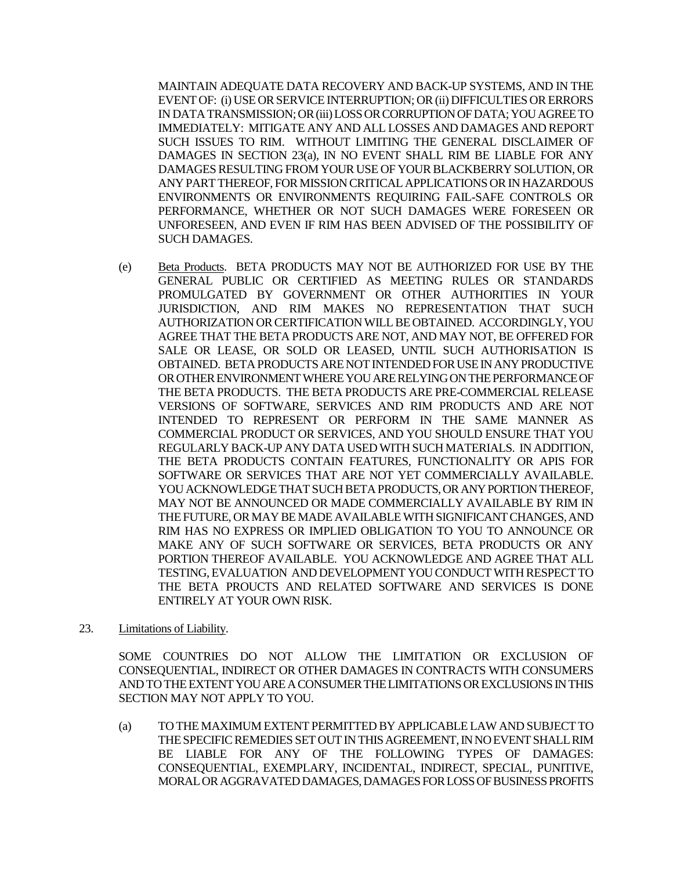MAINTAIN ADEQUATE DATA RECOVERY AND BACK-UP SYSTEMS, AND IN THE EVENT OF: (i) USE OR SERVICE INTERRUPTION; OR (ii) DIFFICULTIES OR ERRORS IN DATA TRANSMISSION; OR (iii) LOSS OR CORRUPTION OF DATA; YOU AGREE TO IMMEDIATELY: MITIGATE ANY AND ALL LOSSES AND DAMAGES AND REPORT SUCH ISSUES TO RIM. WITHOUT LIMITING THE GENERAL DISCLAIMER OF DAMAGES IN SECTION 23(a), IN NO EVENT SHALL RIM BE LIABLE FOR ANY DAMAGES RESULTING FROM YOUR USE OF YOUR BLACKBERRY SOLUTION, OR ANY PART THEREOF, FOR MISSION CRITICAL APPLICATIONS OR IN HAZARDOUS ENVIRONMENTS OR ENVIRONMENTS REQUIRING FAIL-SAFE CONTROLS OR PERFORMANCE, WHETHER OR NOT SUCH DAMAGES WERE FORESEEN OR UNFORESEEN, AND EVEN IF RIM HAS BEEN ADVISED OF THE POSSIBILITY OF SUCH DAMAGES.

- (e) Beta Products. BETA PRODUCTS MAY NOT BE AUTHORIZED FOR USE BY THE GENERAL PUBLIC OR CERTIFIED AS MEETING RULES OR STANDARDS PROMULGATED BY GOVERNMENT OR OTHER AUTHORITIES IN YOUR JURISDICTION, AND RIM MAKES NO REPRESENTATION THAT SUCH AUTHORIZATION OR CERTIFICATION WILL BE OBTAINED. ACCORDINGLY, YOU AGREE THAT THE BETA PRODUCTS ARE NOT, AND MAY NOT, BE OFFERED FOR SALE OR LEASE, OR SOLD OR LEASED, UNTIL SUCH AUTHORISATION IS OBTAINED. BETA PRODUCTS ARE NOT INTENDED FOR USE IN ANY PRODUCTIVE OR OTHER ENVIRONMENT WHERE YOU ARE RELYING ON THE PERFORMANCE OF THE BETA PRODUCTS. THE BETA PRODUCTS ARE PRE-COMMERCIAL RELEASE VERSIONS OF SOFTWARE, SERVICES AND RIM PRODUCTS AND ARE NOT INTENDED TO REPRESENT OR PERFORM IN THE SAME MANNER AS COMMERCIAL PRODUCT OR SERVICES, AND YOU SHOULD ENSURE THAT YOU REGULARLY BACK-UP ANY DATA USED WITH SUCH MATERIALS. IN ADDITION, THE BETA PRODUCTS CONTAIN FEATURES, FUNCTIONALITY OR APIS FOR SOFTWARE OR SERVICES THAT ARE NOT YET COMMERCIALLY AVAILABLE. YOU ACKNOWLEDGE THAT SUCH BETAPRODUCTS, OR ANY PORTION THEREOF, MAY NOT BE ANNOUNCED OR MADE COMMERCIALLY AVAILABLE BY RIM IN THE FUTURE, OR MAY BE MADE AVAILABLE WITH SIGNIFICANT CHANGES, AND RIM HAS NO EXPRESS OR IMPLIED OBLIGATION TO YOU TO ANNOUNCE OR MAKE ANY OF SUCH SOFTWARE OR SERVICES, BETA PRODUCTS OR ANY PORTION THEREOF AVAILABLE. YOU ACKNOWLEDGE AND AGREE THAT ALL TESTING, EVALUATION AND DEVELOPMENT YOU CONDUCT WITH RESPECTTO THE BETA PROUCTS AND RELATED SOFTWARE AND SERVICES IS DONE ENTIRELY AT YOUR OWN RISK.
- 23. Limitations of Liability.

SOME COUNTRIES DO NOT ALLOW THE LIMITATION OR EXCLUSION OF CONSEQUENTIAL, INDIRECT OR OTHER DAMAGES IN CONTRACTS WITH CONSUMERS AND TO THE EXTENT YOU ARE A CONSUMER THE LIMITATIONS OR EXCLUSIONS IN THIS SECTION MAY NOT APPLY TO YOU.

(a) TO THE MAXIMUM EXTENT PERMITTED BY APPLICABLE LAW AND SUBJECT TO THE SPECIFIC REMEDIES SET OUT IN THIS AGREEMENT, IN NO EVENT SHALL RIM BE LIABLE FOR ANY OF THE FOLLOWING TYPES OF DAMAGES: CONSEQUENTIAL, EXEMPLARY, INCIDENTAL, INDIRECT, SPECIAL, PUNITIVE, MORAL OR AGGRAVATED DAMAGES, DAMAGES FOR LOSS OF BUSINESS PROFITS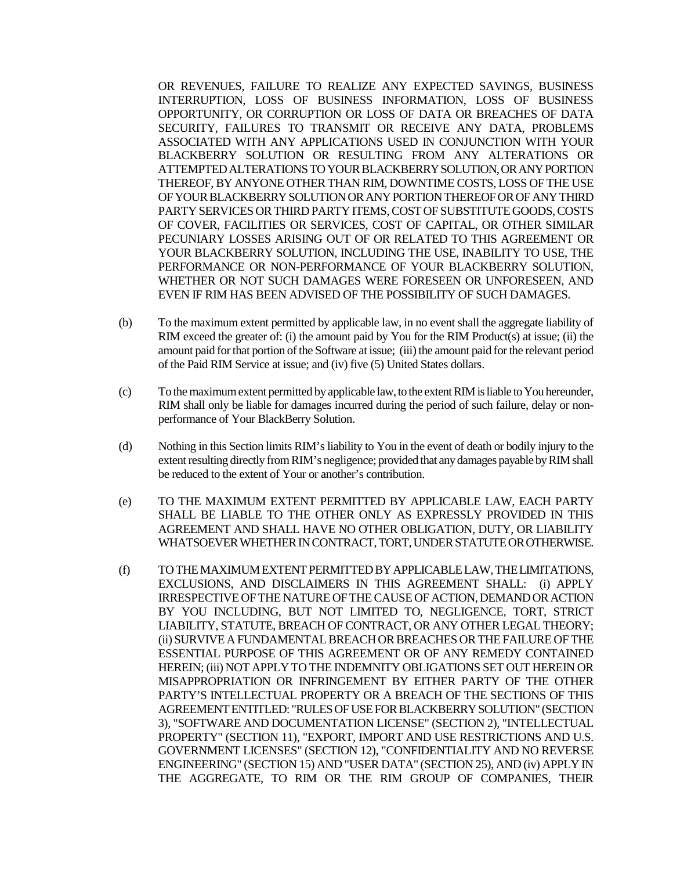OR REVENUES, FAILURE TO REALIZE ANY EXPECTED SAVINGS, BUSINESS INTERRUPTION, LOSS OF BUSINESS INFORMATION, LOSS OF BUSINESS OPPORTUNITY, OR CORRUPTION OR LOSS OF DATA OR BREACHES OF DATA SECURITY, FAILURES TO TRANSMIT OR RECEIVE ANY DATA, PROBLEMS ASSOCIATED WITH ANY APPLICATIONS USED IN CONJUNCTION WITH YOUR BLACKBERRY SOLUTION OR RESULTING FROM ANY ALTERATIONS OR ATTEMPTED ALTERATIONS TO YOUR BLACKBERRY SOLUTION,OR ANY PORTION THEREOF, BY ANYONE OTHER THAN RIM, DOWNTIME COSTS, LOSS OF THE USE OF YOUR BLACKBERRY SOLUTION OR ANY PORTION THEREOF OR OF ANY THIRD PARTY SERVICES OR THIRD PARTY ITEMS, COST OF SUBSTITUTE GOODS, COSTS OF COVER, FACILITIES OR SERVICES, COST OF CAPITAL, OR OTHER SIMILAR PECUNIARY LOSSES ARISING OUT OF OR RELATED TO THIS AGREEMENT OR YOUR BLACKBERRY SOLUTION, INCLUDING THE USE, INABILITY TO USE, THE PERFORMANCE OR NON-PERFORMANCE OF YOUR BLACKBERRY SOLUTION, WHETHER OR NOT SUCH DAMAGES WERE FORESEEN OR UNFORESEEN, AND EVEN IF RIM HAS BEEN ADVISED OF THE POSSIBILITY OF SUCH DAMAGES.

- (b) To the maximum extent permitted by applicable law, in no event shall the aggregate liability of RIM exceed the greater of: (i) the amount paid by You for the RIM Product(s) at issue; (ii) the amount paid for that portion of the Software at issue; (iii) the amount paid for the relevant period of the Paid RIM Service at issue; and (iv) five (5) United States dollars.
- (c) To the maximum extent permitted by applicable law, to the extent RIM is liable to You hereunder, RIM shall only be liable for damages incurred during the period of such failure, delay or nonperformance of Your BlackBerry Solution.
- (d) Nothing in this Section limits RIM's liability to You in the event of death or bodily injury to the extent resulting directly from RIM's negligence; provided that any damages payable by RIM shall be reduced to the extent of Your or another's contribution.
- (e) TO THE MAXIMUM EXTENT PERMITTED BY APPLICABLE LAW, EACH PARTY SHALL BE LIABLE TO THE OTHER ONLY AS EXPRESSLY PROVIDED IN THIS AGREEMENT AND SHALL HAVE NO OTHER OBLIGATION, DUTY, OR LIABILITY WHATSOEVER WHETHER IN CONTRACT, TORT, UNDER STATUTE OR OTHERWISE.
- (f) TO THE MAXIMUM EXTENT PERMITTED BY APPLICABLE LAW, THE LIMITATIONS, EXCLUSIONS, AND DISCLAIMERS IN THIS AGREEMENT SHALL: (i) APPLY IRRESPECTIVE OF THE NATURE OF THE CAUSE OF ACTION, DEMAND OR ACTION BY YOU INCLUDING, BUT NOT LIMITED TO, NEGLIGENCE, TORT, STRICT LIABILITY, STATUTE, BREACH OF CONTRACT, OR ANY OTHER LEGAL THEORY; (ii) SURVIVE A FUNDAMENTAL BREACH OR BREACHES OR THE FAILURE OF THE ESSENTIAL PURPOSE OF THIS AGREEMENT OR OF ANY REMEDY CONTAINED HEREIN; (iii) NOT APPLY TO THE INDEMNITY OBLIGATIONS SET OUT HEREIN OR MISAPPROPRIATION OR INFRINGEMENT BY EITHER PARTY OF THE OTHER PARTY'S INTELLECTUAL PROPERTY OR A BREACH OF THE SECTIONS OF THIS AGREEMENT ENTITLED: "RULES OF USE FOR BLACKBERRY SOLUTION" (SECTION 3), "SOFTWARE AND DOCUMENTATION LICENSE" (SECTION 2), "INTELLECTUAL PROPERTY" (SECTION 11), "EXPORT, IMPORT AND USE RESTRICTIONS AND U.S. GOVERNMENT LICENSES" (SECTION 12), "CONFIDENTIALITY AND NO REVERSE ENGINEERING" (SECTION 15) AND "USER DATA" (SECTION 25), AND (iv) APPLY IN THE AGGREGATE, TO RIM OR THE RIM GROUP OF COMPANIES, THEIR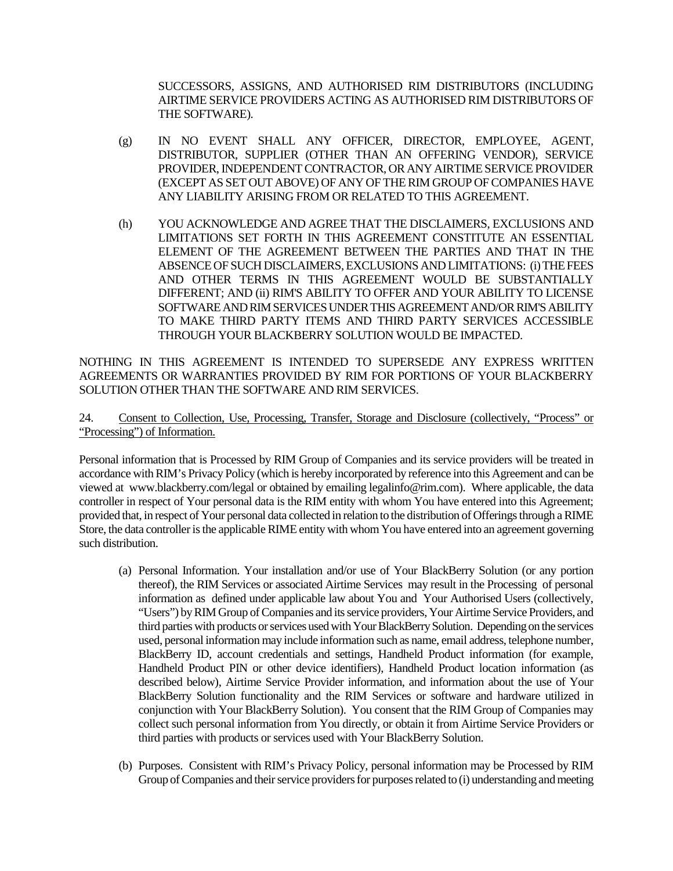SUCCESSORS, ASSIGNS, AND AUTHORISED RIM DISTRIBUTORS (INCLUDING AIRTIME SERVICE PROVIDERS ACTING AS AUTHORISED RIM DISTRIBUTORS OF THE SOFTWARE).

- (g) IN NO EVENT SHALL ANY OFFICER, DIRECTOR, EMPLOYEE, AGENT, DISTRIBUTOR, SUPPLIER (OTHER THAN AN OFFERING VENDOR), SERVICE PROVIDER, INDEPENDENT CONTRACTOR, OR ANY AIRTIME SERVICE PROVIDER (EXCEPT AS SET OUT ABOVE) OF ANY OF THE RIM GROUP OF COMPANIES HAVE ANY LIABILITY ARISING FROM OR RELATED TO THIS AGREEMENT.
- (h) YOU ACKNOWLEDGE AND AGREE THAT THE DISCLAIMERS, EXCLUSIONS AND LIMITATIONS SET FORTH IN THIS AGREEMENT CONSTITUTE AN ESSENTIAL ELEMENT OF THE AGREEMENT BETWEEN THE PARTIES AND THAT IN THE ABSENCE OF SUCH DISCLAIMERS, EXCLUSIONS AND LIMITATIONS: (i) THE FEES AND OTHER TERMS IN THIS AGREEMENT WOULD BE SUBSTANTIALLY DIFFERENT; AND (ii) RIM'S ABILITY TO OFFER AND YOUR ABILITY TO LICENSE SOFTWARE AND RIM SERVICES UNDER THIS AGREEMENT AND/OR RIM'S ABILITY TO MAKE THIRD PARTY ITEMS AND THIRD PARTY SERVICES ACCESSIBLE THROUGH YOUR BLACKBERRY SOLUTION WOULD BE IMPACTED.

NOTHING IN THIS AGREEMENT IS INTENDED TO SUPERSEDE ANY EXPRESS WRITTEN AGREEMENTS OR WARRANTIES PROVIDED BY RIM FOR PORTIONS OF YOUR BLACKBERRY SOLUTION OTHER THAN THE SOFTWARE AND RIM SERVICES.

## 24. Consent to Collection, Use, Processing, Transfer, Storage and Disclosure (collectively, "Process" or "Processing") of Information.

Personal information that is Processed by RIM Group of Companies and its service providers will be treated in accordance with RIM's Privacy Policy (which is hereby incorporated by reference into this Agreement and can be viewed at www.blackberry.com/legal or obtained by emailing legalinfo@rim.com). Where applicable, the data controller in respect of Your personal data is the RIM entity with whom You have entered into this Agreement; provided that, in respect of Your personal data collected in relation to the distribution of Offerings through a RIME Store, the data controller is the applicable RIME entity with whom You have entered into an agreement governing such distribution.

- (a) Personal Information. Your installation and/or use of Your BlackBerry Solution (or any portion thereof), the RIM Services or associated Airtime Services may result in the Processing of personal information as defined under applicable law about You and Your Authorised Users (collectively, "Users") by RIM Group of Companies and its service providers, Your Airtime Service Providers, and third parties with products or services used with Your BlackBerry Solution. Depending on the services used, personal information may include information such as name, email address, telephone number, BlackBerry ID, account credentials and settings, Handheld Product information (for example, Handheld Product PIN or other device identifiers), Handheld Product location information (as described below), Airtime Service Provider information, and information about the use of Your BlackBerry Solution functionality and the RIM Services or software and hardware utilized in conjunction with Your BlackBerry Solution). You consent that the RIM Group of Companies may collect such personal information from You directly, or obtain it from Airtime Service Providers or third parties with products or services used with Your BlackBerry Solution.
- (b) Purposes. Consistent with RIM's Privacy Policy, personal information may be Processed by RIM Group of Companies and their service providers for purposes related to (i) understanding and meeting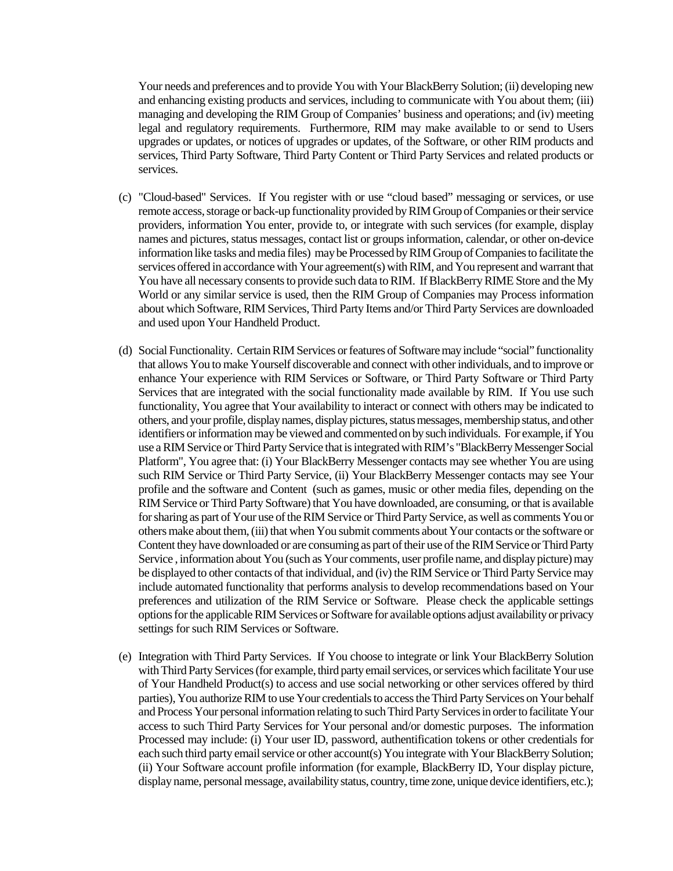Your needs and preferences and to provide You with Your BlackBerry Solution; (ii) developing new and enhancing existing products and services, including to communicate with You about them; (iii) managing and developing the RIM Group of Companies' business and operations; and (iv) meeting legal and regulatory requirements. Furthermore, RIM may make available to or send to Users upgrades or updates, or notices of upgrades or updates, of the Software, or other RIM products and services, Third Party Software, Third Party Content or Third Party Services and related products or services.

- (c) "Cloud-based" Services. If You register with or use "cloud based" messaging or services, or use remote access, storage or back-up functionality provided by RIM Group of Companies or their service providers, information You enter, provide to, or integrate with such services (for example, display names and pictures, status messages, contact list or groups information, calendar, or other on-device information like tasks and media files) may be Processed by RIM Group of Companies to facilitate the services offered in accordance with Your agreement(s) with RIM, and You represent and warrant that You have all necessary consents to provide such data to RIM. If BlackBerry RIME Store and the My World or any similar service is used, then the RIM Group of Companies may Process information about which Software, RIM Services, Third Party Items and/or Third Party Services are downloaded and used upon Your Handheld Product.
- (d) Social Functionality. Certain RIM Services or features of Software may include "social" functionality that allows You to make Yourself discoverable and connect with other individuals, and to improve or enhance Your experience with RIM Services or Software, or Third Party Software or Third Party Services that are integrated with the social functionality made available by RIM. If You use such functionality, You agree that Your availability to interact or connect with others may be indicated to others, and your profile, display names, display pictures, status messages, membership status, and other identifiers or informationmay be viewed and commented on by such individuals. For example, if You use a RIM Service or Third Party Service that is integrated with RIM's "BlackBerry Messenger Social Platform", You agree that: (i) Your BlackBerry Messenger contacts may see whether You are using such RIM Service or Third Party Service, (ii) Your BlackBerry Messenger contacts may see Your profile and the software and Content (such as games, music or other media files, depending on the RIM Service or Third Party Software) that You have downloaded, are consuming, or that is available for sharing as part of Your use of the RIM Service or Third Party Service, as well as comments You or others make about them, (iii) that when You submit comments about Your contacts or the software or Content they have downloaded or are consuming as part of their use of the RIM Service or Third Party Service , information about You (such as Your comments, user profile name, and display picture) may be displayed to other contacts of that individual, and (iv) the RIM Service or Third Party Service may include automated functionality that performs analysis to develop recommendations based on Your preferences and utilization of the RIM Service or Software. Please check the applicable settings options for the applicableRIM Services or Software for available options adjust availability or privacy settings for such RIM Services or Software.
- (e) Integration with Third Party Services. If You choose to integrate or link Your BlackBerry Solution with Third Party Services (for example, third party email services, or services which facilitate Your use of Your Handheld Product(s) to access and use social networking or other services offered by third parties), You authorize RIM to use Your credentials to access the Third Party Services on Your behalf and Process Your personal information relating to such Third Party Services in order to facilitate Your access to such Third Party Services for Your personal and/or domestic purposes. The information Processed may include: (i) Your user ID, password, authentification tokens or other credentials for each such third party email service or other account(s) You integrate with Your BlackBerry Solution; (ii) Your Software account profile information (for example, BlackBerry ID, Your display picture, display name, personal message, availability status, country, time zone, unique device identifiers, etc.);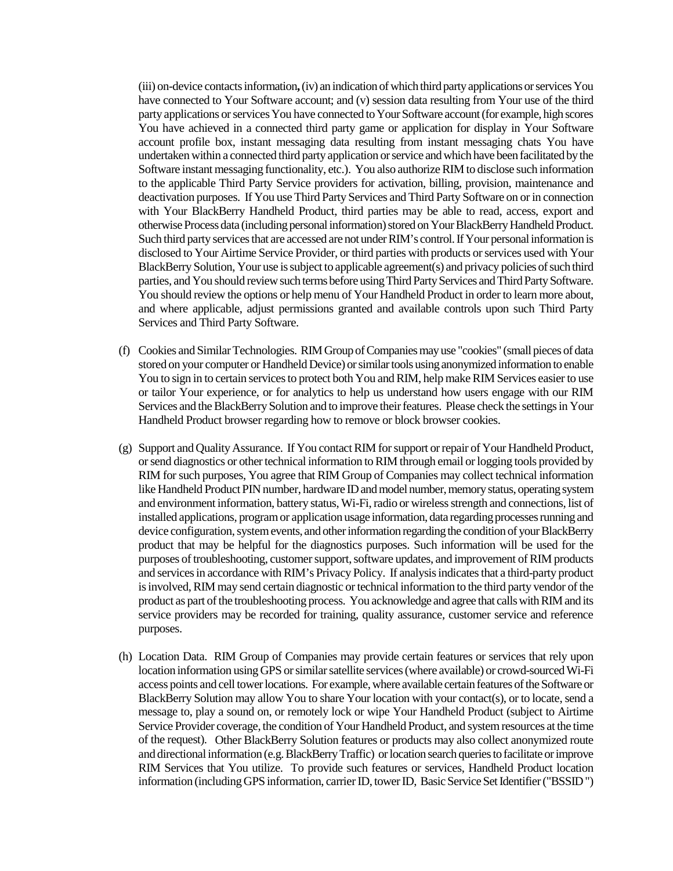(iii) on-device contacts information**,**(iv) an indication of which third party applications or services You have connected to Your Software account; and (v) session data resulting from Your use of the third party applications or services You have connected to Your Software account (for example, high scores You have achieved in a connected third party game or application for display in Your Software account profile box, instant messaging data resulting from instant messaging chats You have undertaken within a connected third party application or service and which have been facilitated by the Software instant messaging functionality, etc.). You also authorize RIM to disclose such information to the applicable Third Party Service providers for activation, billing, provision, maintenance and deactivation purposes. If You use Third Party Services and Third Party Software on or in connection with Your BlackBerry Handheld Product, third parties may be able to read, access, export and otherwise Process data (including personal information) stored on Your BlackBerry Handheld Product. Such third party services that are accessed are not under RIM's control.If Your personal information is disclosed to Your Airtime Service Provider, or third parties with products or services used with Your BlackBerry Solution, Your use is subject to applicable agreement(s) and privacy policies of such third parties, and You should review such terms before using Third Party Services and Third Party Software. You should review the options or help menu of Your Handheld Product in order to learn more about, and where applicable, adjust permissions granted and available controls upon such Third Party Services and Third Party Software.

- (f) Cookies and Similar Technologies. RIM Group of Companies may use "cookies" (small pieces of data stored on your computer or Handheld Device) or similar tools using anonymized information to enable You to sign in to certain services to protect both You and RIM, help make RIM Services easier to use or tailor Your experience, or for analytics to help us understand how users engage with our RIM Services and the BlackBerry Solution and to improve their features. Please check the settings in Your Handheld Product browser regarding how to remove or block browser cookies.
- (g) Support and Quality Assurance. If You contact RIM for support or repair of Your Handheld Product, or send diagnostics or other technical information to RIM through email or logging tools provided by RIM for such purposes, You agree that RIM Group of Companies may collect technical information like Handheld Product PIN number, hardware ID and model number, memory status, operating system and environment information, battery status, Wi-Fi, radio or wireless strength and connections, list of installed applications, program or application usage information, data regarding processes running and device configuration, system events, and other information regarding the condition of your BlackBerry product that may be helpful for the diagnostics purposes. Such information will be used for the purposes of troubleshooting, customer support, software updates, and improvement of RIM products and services in accordance with RIM's Privacy Policy. If analysis indicates that a third-party product is involved, RIM may send certain diagnostic or technical information to the third party vendor of the product as part of the troubleshooting process. You acknowledge and agree that calls with RIM and its service providers may be recorded for training, quality assurance, customer service and reference purposes.
- (h) Location Data. RIM Group of Companies may provide certain features or services that rely upon location information using GPS or similar satellite services (where available) or crowd-sourced Wi-Fi access points and cell tower locations. For example, where available certain features of the Software or BlackBerry Solution may allow You to share Your location with your contact(s), or to locate, send a message to, play a sound on, or remotely lock or wipe Your Handheld Product (subject to Airtime Service Provider coverage, the condition of Your Handheld Product, and system resources at the time of the request). Other BlackBerry Solution features or products may also collect anonymized route and directional information (e.g. BlackBerry Traffic) or location search queries to facilitate or improve RIM Services that You utilize. To provide such features or services, Handheld Product location information (including GPS information, carrier ID, tower ID, Basic Service Set Identifier ("BSSID")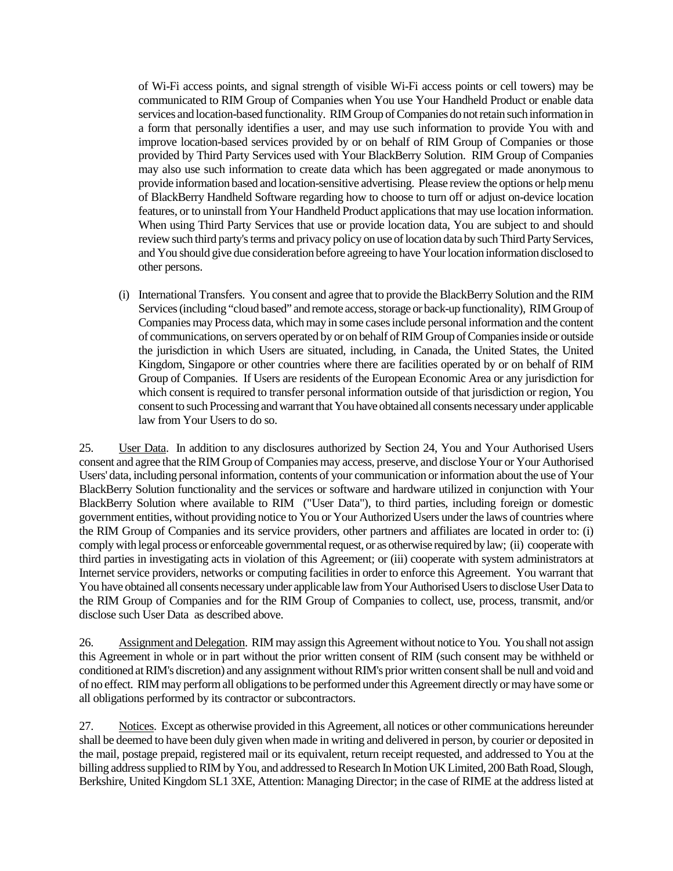of Wi-Fi access points, and signal strength of visible Wi-Fi access points or cell towers) may be communicated to RIM Group of Companies when You use Your Handheld Product or enable data services and location-based functionality. RIM Group of Companies do not retain such information in a form that personally identifies a user, and may use such information to provide You with and improve location-based services provided by or on behalf of RIM Group of Companies or those provided by Third Party Services used with Your BlackBerry Solution. RIM Group of Companies may also use such information to create data which has been aggregated or made anonymous to provide information based and location-sensitive advertising. Please review the options or help menu of BlackBerry Handheld Software regarding how to choose to turn off or adjust on-device location features, or to uninstall from Your Handheld Product applications that may use location information. When using Third Party Services that use or provide location data, You are subject to and should review such third party's terms and privacy policy on use of location data by such Third Party Services, and You should give due consideration before agreeing to have Your location information disclosed to other persons.

(i) International Transfers. You consent and agree that to provide the BlackBerry Solution and the RIM Services (including "cloud based" and remote access, storage or back-up functionality), RIM Group of Companies may Process data, which may in some cases include personal information and the content of communications, on servers operated by or on behalf of RIM Group of Companies inside or outside the jurisdiction in which Users are situated, including, in Canada, the United States, the United Kingdom, Singapore or other countries where there are facilities operated by or on behalf of RIM Group of Companies. If Users are residents of the European Economic Area or any jurisdiction for which consent is required to transfer personal information outside of that jurisdiction or region, You consent to such Processingand warrant that You have obtained all consents necessary under applicable law from Your Users to do so.

25. User Data. In addition to any disclosures authorized by Section 24, You and Your Authorised Users consent and agree that the RIM Group of Companies may access, preserve, and disclose Your or Your Authorised Users' data, including personal information, contents of your communication or information about the use of Your BlackBerry Solution functionality and the services or software and hardware utilized in conjunction with Your BlackBerry Solution where available to RIM ("User Data"), to third parties, including foreign or domestic government entities, without providing notice to You or Your Authorized Users under the laws of countries where the RIM Group of Companies and its service providers, other partners and affiliates are located in order to: (i) comply with legal process or enforceable governmental request, or as otherwise required by law; (ii) cooperate with third parties in investigating acts in violation of this Agreement; or (iii) cooperate with system administrators at Internet service providers, networks or computing facilities in order to enforce this Agreement. You warrant that You have obtained all consents necessary under applicable law from Your Authorised Users to disclose User Data to the RIM Group of Companies and for the RIM Group of Companies to collect, use, process, transmit, and/or disclose such User Data as described above.

26. Assignment and Delegation. RIM may assign this Agreement without notice to You. You shall not assign this Agreement in whole or in part without the prior written consent of RIM (such consent may be withheld or conditioned at RIM's discretion) and any assignment without RIM's prior written consent shall be null and void and of no effect. RIM may perform all obligations to be performed under this Agreement directly or may have some or all obligations performed by its contractor or subcontractors.

27. Notices. Except as otherwise provided in this Agreement, all notices or other communications hereunder shall be deemed to have been duly given when made in writing and delivered in person, by courier or deposited in the mail, postage prepaid, registered mail or its equivalent, return receipt requested, and addressed to You at the billing address supplied to RIM by You, and addressed to Research In Motion UK Limited, 200 Bath Road, Slough, Berkshire, United Kingdom SL1 3XE, Attention: Managing Director; in the case of RIME at the address listed at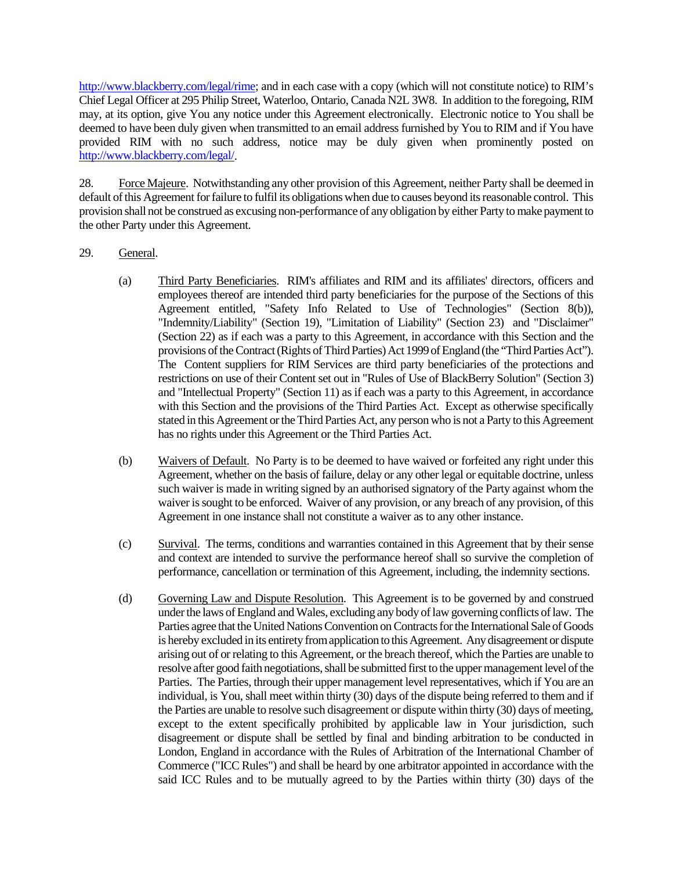http://www.blackberry.com/legal/rime; and in each case with a copy (which will not constitute notice) to RIM's Chief Legal Officer at 295 Philip Street, Waterloo, Ontario, Canada N2L 3W8. In addition to the foregoing, RIM may, at its option, give You any notice under this Agreement electronically. Electronic notice to You shall be deemed to have been duly given when transmitted to an email address furnished by You to RIM and if You have provided RIM with no such address, notice may be duly given when prominently posted on http://www.blackberry.com/legal/.

28. Force Majeure. Notwithstanding any other provision of this Agreement, neither Party shall be deemed in default of this Agreement for failure to fulfil its obligations when due to causes beyond its reasonable control. This provision shall not be construed as excusing non-performance of any obligation by either Party to make payment to the other Party under this Agreement.

## 29. General.

- (a) Third Party Beneficiaries. RIM's affiliates and RIM and its affiliates' directors, officers and employees thereof are intended third party beneficiaries for the purpose of the Sections of this Agreement entitled, "Safety Info Related to Use of Technologies" (Section 8(b)), "Indemnity/Liability" (Section 19), "Limitation of Liability" (Section 23) and "Disclaimer" (Section 22) as if each was a party to this Agreement, in accordance with this Section and the provisions of the Contract (Rights of ThirdParties) Act 1999 of England (the "Third Parties Act"). The Content suppliers for RIM Services are third party beneficiaries of the protections and restrictions on use of their Content set out in "Rules of Use of BlackBerry Solution" (Section 3) and "Intellectual Property" (Section 11) as if each was a party to this Agreement, in accordance with this Section and the provisions of the Third Parties Act. Except as otherwise specifically stated in this Agreement or the Third Parties Act, any person who is not a Party to this Agreement has no rights under this Agreement or the Third Parties Act.
- (b) Waivers of Default. No Party is to be deemed to have waived or forfeited any right under this Agreement, whether on the basis of failure, delay or any other legal or equitable doctrine, unless such waiver is made in writing signed by an authorised signatory of the Party against whom the waiver is sought to be enforced. Waiver of any provision, or any breach of any provision, of this Agreement in one instance shall not constitute a waiver as to any other instance.
- (c) Survival. The terms, conditions and warranties contained in this Agreement that by their sense and context are intended to survive the performance hereof shall so survive the completion of performance, cancellation or termination of this Agreement, including, the indemnity sections.
- (d) Governing Law and Dispute Resolution. This Agreement is to be governed by and construed under the laws of England and Wales, excluding any body of law governing conflicts of law. The Parties agree that the United Nations Convention on Contracts for the International Sale of Goods is hereby excluded in its entirety from application to this Agreement. Any disagreement or dispute arising out of or relating to this Agreement, or the breach thereof, which the Parties are unable to resolve after good faith negotiations, shall be submitted first to the upper management level of the Parties. The Parties, through their upper management level representatives, which if You are an individual, is You, shall meet within thirty (30) days of the dispute being referred to them and if the Parties are unable to resolve such disagreement or dispute within thirty (30) days of meeting, except to the extent specifically prohibited by applicable law in Your jurisdiction, such disagreement or dispute shall be settled by final and binding arbitration to be conducted in London, England in accordance with the Rules of Arbitration of the International Chamber of Commerce ("ICC Rules") and shall be heard by one arbitrator appointed in accordance with the said ICC Rules and to be mutually agreed to by the Parties within thirty (30) days of the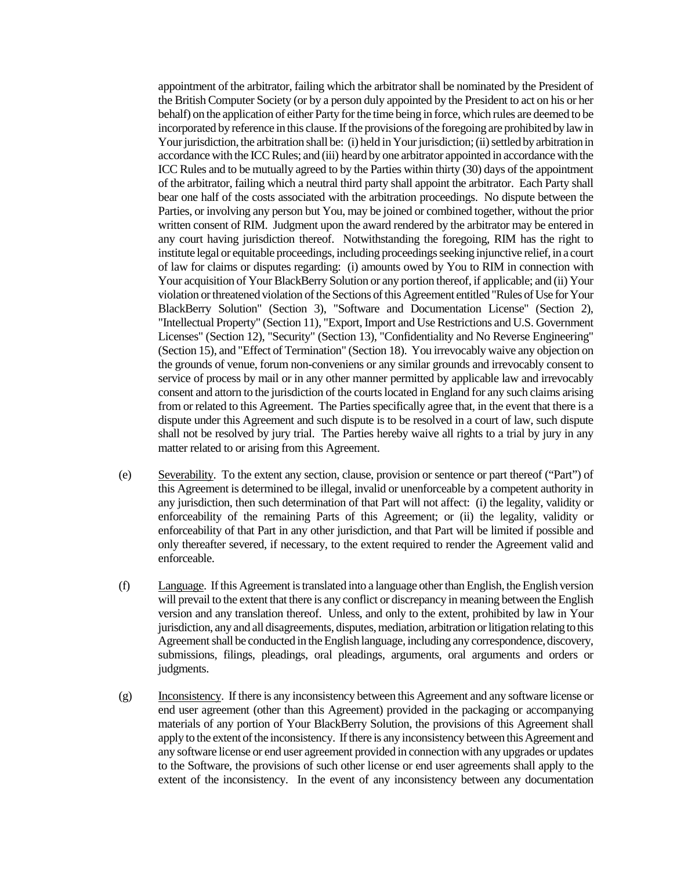appointment of the arbitrator, failing which the arbitrator shall be nominated by the President of the British Computer Society (or by a person duly appointed by the President to act on his or her behalf) on the application of either Party for the time being in force, which rules are deemed to be incorporated by reference in this clause. If the provisions of the foregoing are prohibited by law in Your jurisdiction, the arbitration shall be: (i) held in Your jurisdiction; (ii) settled by arbitration in accordance with the ICC Rules; and (iii) heard by one arbitrator appointed in accordance with the ICC Rules and to be mutually agreed to by the Parties within thirty (30) days of the appointment of the arbitrator, failing which a neutral third party shall appoint the arbitrator. Each Party shall bear one half of the costs associated with the arbitration proceedings. No dispute between the Parties, or involving any person but You, may be joined or combined together, without the prior written consent of RIM. Judgment upon the award rendered by the arbitrator may be entered in any court having jurisdiction thereof. Notwithstanding the foregoing, RIM has the right to institute legal or equitable proceedings, including proceedings seeking injunctive relief, in a court of law for claims or disputes regarding: (i) amounts owed by You to RIM in connection with Your acquisition of Your BlackBerry Solution or any portion thereof, if applicable; and (ii) Your violation or threatened violation of the Sections of this Agreement entitled "Rules of Use forYour BlackBerry Solution" (Section 3), "Software and Documentation License" (Section 2), "Intellectual Property" (Section 11), "Export, Import and Use Restrictions and U.S. Government Licenses" (Section 12), "Security" (Section 13), "Confidentiality and No Reverse Engineering" (Section 15), and "Effect of Termination" (Section 18). You irrevocably waive any objection on the grounds of venue, forum non-conveniens or any similar grounds and irrevocably consent to service of process by mail or in any other manner permitted by applicable law and irrevocably consent and attorn to the jurisdiction of the courts located in England for any such claims arising from or related to this Agreement. The Parties specifically agree that, in the event that there is a dispute under this Agreement and such dispute is to be resolved in a court of law, such dispute shall not be resolved by jury trial. The Parties hereby waive all rights to a trial by jury in any matter related to or arising from this Agreement.

- (e) Severability. To the extent any section, clause, provision or sentence or part thereof ("Part") of this Agreement is determined to be illegal, invalid or unenforceable by a competent authority in any jurisdiction, then such determination of that Part will not affect: (i) the legality, validity or enforceability of the remaining Parts of this Agreement; or (ii) the legality, validity or enforceability of that Part in any other jurisdiction, and that Part will be limited if possible and only thereafter severed, if necessary, to the extent required to render the Agreement valid and enforceable.
- (f) Language. If this Agreement is translated into a language other than English, the English version will prevail to the extent that there is any conflict or discrepancy in meaning between the English version and any translation thereof. Unless, and only to the extent, prohibited by law in Your jurisdiction, any and all disagreements, disputes, mediation, arbitration or litigation relating to this Agreement shall be conducted in the English language, including any correspondence, discovery, submissions, filings, pleadings, oral pleadings, arguments, oral arguments and orders or judgments.
- (g) Inconsistency. If there is any inconsistency between this Agreement and any software license or end user agreement (other than this Agreement) provided in the packaging or accompanying materials of any portion of Your BlackBerry Solution, the provisions of this Agreement shall apply to the extent of the inconsistency. If there is any inconsistency between this Agreement and any software license or end user agreement provided in connection with any upgrades or updates to the Software, the provisions of such other license or end user agreements shall apply to the extent of the inconsistency. In the event of any inconsistency between any documentation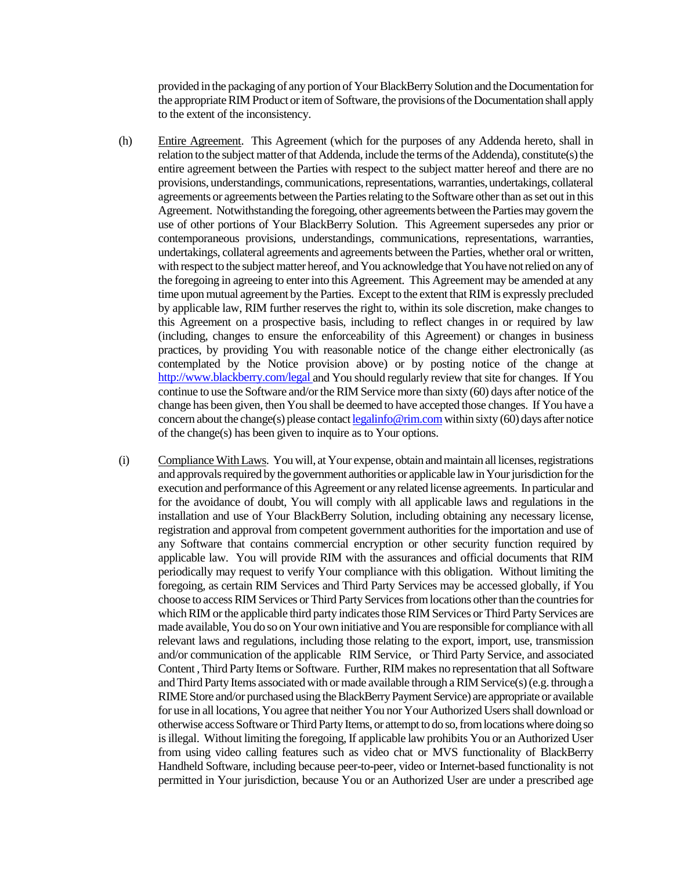provided in the packaging of any portion of Your BlackBerry Solution and the Documentation for the appropriate RIM Product or item of Software, the provisions of the Documentation shall apply to the extent of the inconsistency.

- (h) Entire Agreement. This Agreement (which for the purposes of any Addenda hereto, shall in relation to the subject matter of that Addenda, include the terms of the Addenda), constitute(s) the entire agreement between the Parties with respect to the subject matter hereof and there are no provisions, understandings, communications, representations, warranties, undertakings, collateral agreements or agreements between the Parties relating to the Software other than as set out in this Agreement. Notwithstanding the foregoing, other agreements between the Parties may govern the use of other portions of Your BlackBerry Solution. This Agreement supersedes any prior or contemporaneous provisions, understandings, communications, representations, warranties, undertakings, collateral agreements and agreements between the Parties, whether oral or written, with respect to the subject matter hereof, and You acknowledge that You have not relied on any of the foregoing in agreeing to enter into this Agreement. This Agreement may be amended at any time upon mutual agreement by the Parties. Except to the extent that RIM is expressly precluded by applicable law, RIM further reserves the right to, within its sole discretion, make changes to this Agreement on a prospective basis, including to reflect changes in or required by law (including, changes to ensure the enforceability of this Agreement) or changes in business practices, by providing You with reasonable notice of the change either electronically (as contemplated by the Notice provision above) or by posting notice of the change at http://www.blackberry.com/legal and You should regularly review that site for changes. If You continue to use the Software and/or the RIM Service more than sixty (60) days after notice of the change has been given, then You shall be deemed to have accepted those changes. If You have a concern about the change(s) please contact legalinfo@rim.com within sixty (60) days after notice of the change(s) has been given to inquire as to Your options.
- (i) Compliance With Laws. You will, at Your expense, obtain and maintain all licenses, registrations and approvals required by the government authorities or applicable law in Your jurisdiction for the execution and performance of this Agreement or any related license agreements. In particular and for the avoidance of doubt, You will comply with all applicable laws and regulations in the installation and use of Your BlackBerry Solution, including obtaining any necessary license, registration and approval from competent government authorities for the importation and use of any Software that contains commercial encryption or other security function required by applicable law. You will provide RIM with the assurances and official documents that RIM periodically may request to verify Your compliance with this obligation. Without limiting the foregoing, as certain RIM Services and Third Party Services may be accessed globally, if You choose to access RIM Services or Third Party Services from locations other than the countries for which RIM or the applicable third party indicates those RIM Services or Third Party Services are made available, You do so on Your own initiative and You are responsible for compliance with all relevant laws and regulations, including those relating to the export, import, use, transmission and/or communication of the applicable RIM Service, or Third Party Service, and associated Content , Third Party Items or Software. Further, RIM makes no representation that all Software and Third Party Items associated with or made available through a RIM Service(s) (e.g. through a RIME Store and/or purchased using the BlackBerry Payment Service) are appropriate or available for use in all locations, You agree that neither You nor Your Authorized Users shall download or otherwise access Software or Third Party Items, or attempt to do so,from locations where doing so is illegal. Without limiting the foregoing, If applicable law prohibits You or an Authorized User from using video calling features such as video chat or MVS functionality of BlackBerry Handheld Software, including because peer-to-peer, video or Internet-based functionality is not permitted in Your jurisdiction, because You or an Authorized User are under a prescribed age